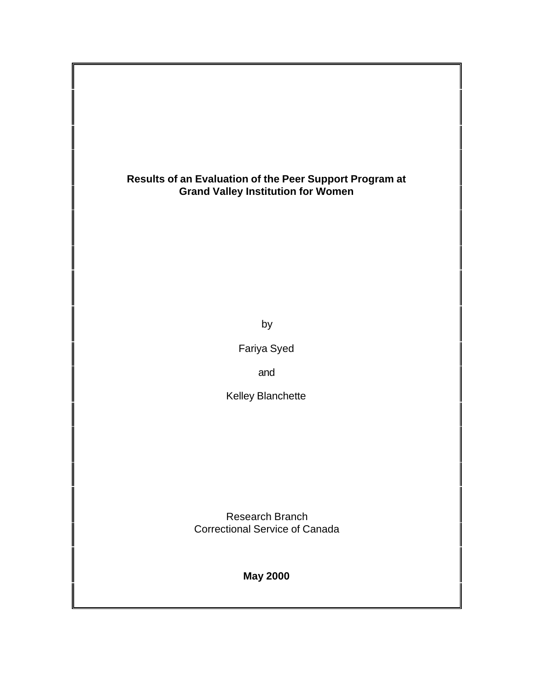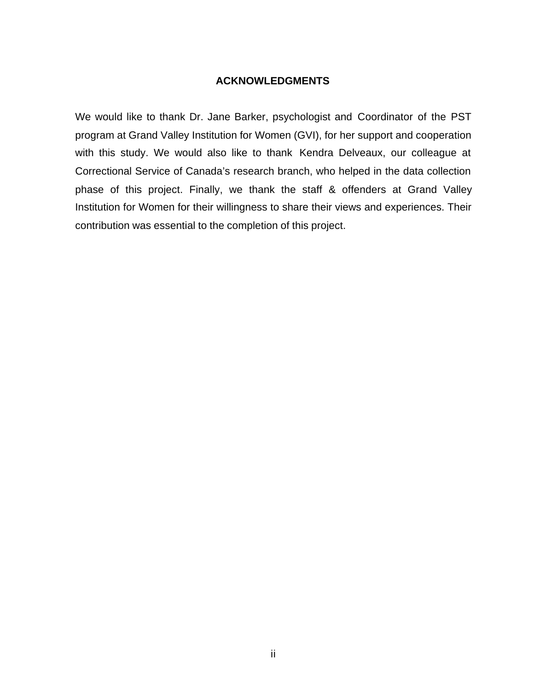### **ACKNOWLEDGMENTS**

We would like to thank Dr. Jane Barker, psychologist and Coordinator of the PST program at Grand Valley Institution for Women (GVI), for her support and cooperation with this study. We would also like to thank Kendra Delveaux, our colleague at Correctional Service of Canada's research branch, who helped in the data collection phase of this project. Finally, we thank the staff & offenders at Grand Valley Institution for Women for their willingness to share their views and experiences. Their contribution was essential to the completion of this project.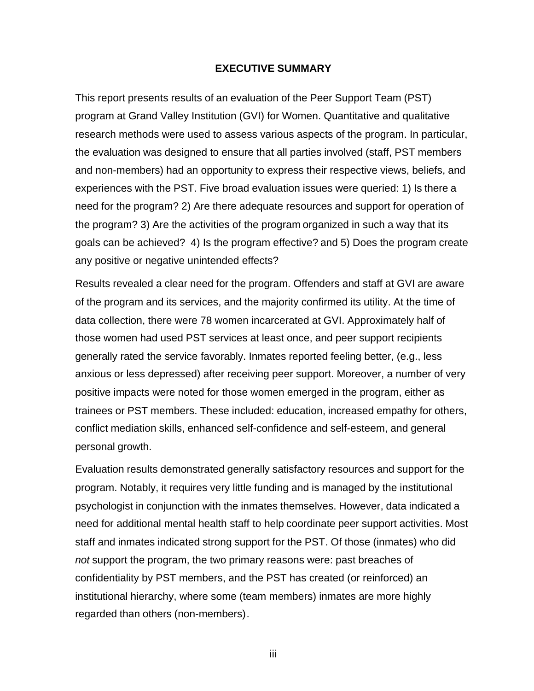#### **EXECUTIVE SUMMARY**

This report presents results of an evaluation of the Peer Support Team (PST) program at Grand Valley Institution (GVI) for Women. Quantitative and qualitative research methods were used to assess various aspects of the program. In particular, the evaluation was designed to ensure that all parties involved (staff, PST members and non-members) had an opportunity to express their respective views, beliefs, and experiences with the PST. Five broad evaluation issues were queried: 1) Is there a need for the program? 2) Are there adequate resources and support for operation of the program? 3) Are the activities of the program organized in such a way that its goals can be achieved? 4) Is the program effective? and 5) Does the program create any positive or negative unintended effects?

Results revealed a clear need for the program. Offenders and staff at GVI are aware of the program and its services, and the majority confirmed its utility. At the time of data collection, there were 78 women incarcerated at GVI. Approximately half of those women had used PST services at least once, and peer support recipients generally rated the service favorably. Inmates reported feeling better, (e.g., less anxious or less depressed) after receiving peer support. Moreover, a number of very positive impacts were noted for those women emerged in the program, either as trainees or PST members. These included: education, increased empathy for others, conflict mediation skills, enhanced self-confidence and self-esteem, and general personal growth.

Evaluation results demonstrated generally satisfactory resources and support for the program. Notably, it requires very little funding and is managed by the institutional psychologist in conjunction with the inmates themselves. However, data indicated a need for additional mental health staff to help coordinate peer support activities. Most staff and inmates indicated strong support for the PST. Of those (inmates) who did *not* support the program, the two primary reasons were: past breaches of confidentiality by PST members, and the PST has created (or reinforced) an institutional hierarchy, where some (team members) inmates are more highly regarded than others (non-members).

iii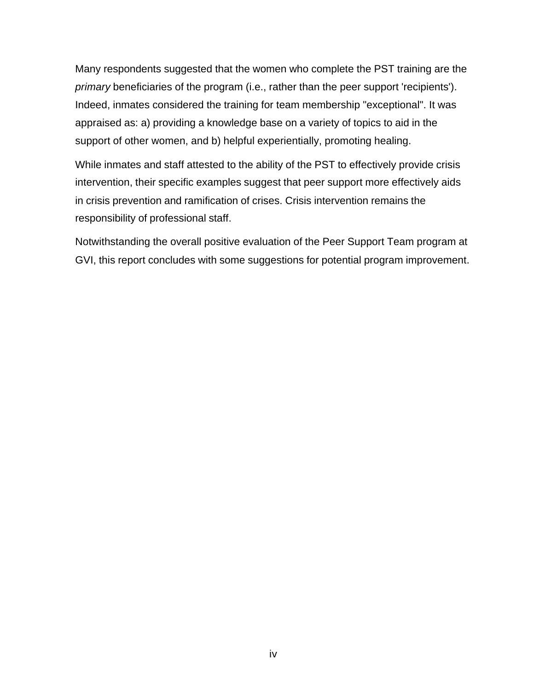Many respondents suggested that the women who complete the PST training are the *primary* beneficiaries of the program (i.e., rather than the peer support 'recipients'). Indeed, inmates considered the training for team membership "exceptional". It was appraised as: a) providing a knowledge base on a variety of topics to aid in the support of other women, and b) helpful experientially, promoting healing.

While inmates and staff attested to the ability of the PST to effectively provide crisis intervention, their specific examples suggest that peer support more effectively aids in crisis prevention and ramification of crises. Crisis intervention remains the responsibility of professional staff.

Notwithstanding the overall positive evaluation of the Peer Support Team program at GVI, this report concludes with some suggestions for potential program improvement.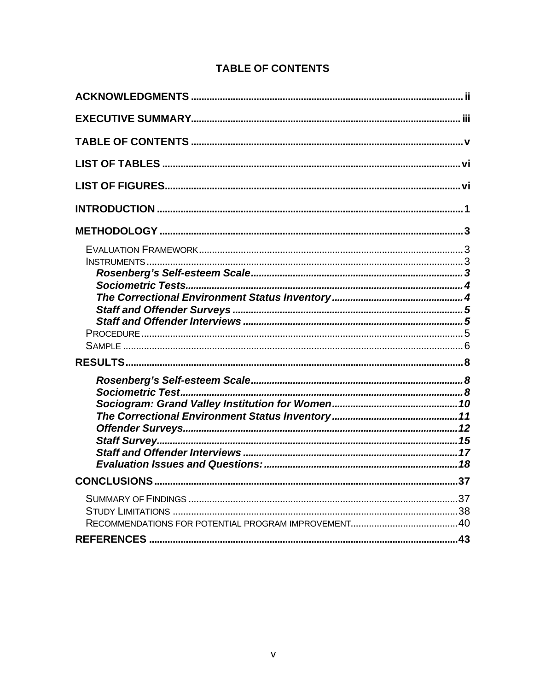# **TABLE OF CONTENTS**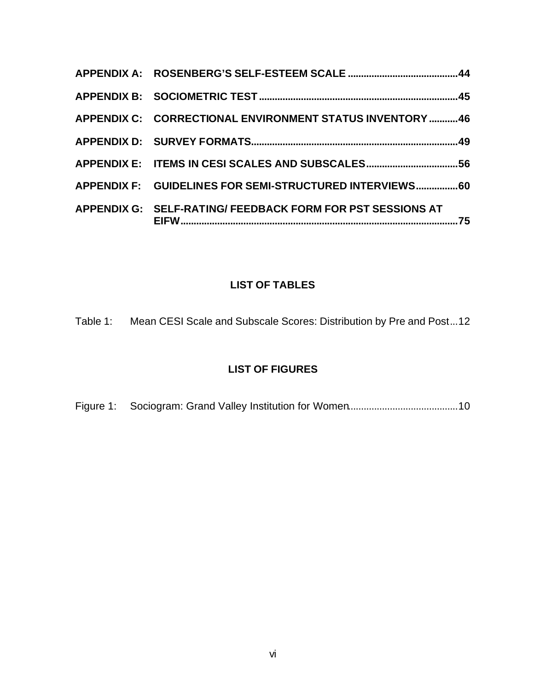| APPENDIX C: CORRECTIONAL ENVIRONMENT STATUS INVENTORY  46  |     |
|------------------------------------------------------------|-----|
|                                                            |     |
|                                                            |     |
| APPENDIX F: GUIDELINES FOR SEMI-STRUCTURED INTERVIEWS 60   |     |
| APPENDIX G: SELF-RATING/ FEEDBACK FORM FOR PST SESSIONS AT | .75 |

# **LIST OF TABLES**

Table 1: Mean CESI Scale and Subscale Scores: Distribution by Pre and Post...12

# **LIST OF FIGURES**

Figure 1: Sociogram: Grand Valley Institution for Women..........................................10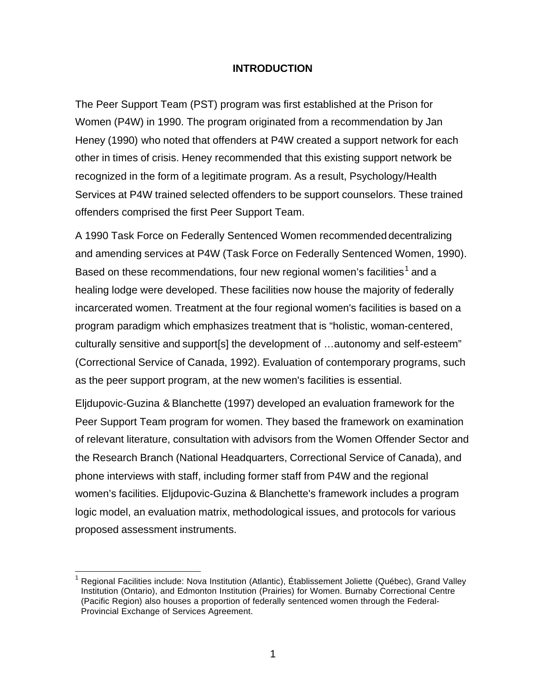# **INTRODUCTION**

The Peer Support Team (PST) program was first established at the Prison for Women (P4W) in 1990. The program originated from a recommendation by Jan Heney (1990) who noted that offenders at P4W created a support network for each other in times of crisis. Heney recommended that this existing support network be recognized in the form of a legitimate program. As a result, Psychology/Health Services at P4W trained selected offenders to be support counselors. These trained offenders comprised the first Peer Support Team.

A 1990 Task Force on Federally Sentenced Women recommended decentralizing and amending services at P4W (Task Force on Federally Sentenced Women, 1990). Based on these recommendations, four new regional women's facilities  $^1$  and a healing lodge were developed. These facilities now house the majority of federally incarcerated women. Treatment at the four regional women's facilities is based on a program paradigm which emphasizes treatment that is "holistic, woman-centered, culturally sensitive and support[s] the development of …autonomy and self-esteem" (Correctional Service of Canada, 1992). Evaluation of contemporary programs, such as the peer support program, at the new women's facilities is essential.

Eljdupovic-Guzina & Blanchette (1997) developed an evaluation framework for the Peer Support Team program for women. They based the framework on examination of relevant literature, consultation with advisors from the Women Offender Sector and the Research Branch (National Headquarters, Correctional Service of Canada), and phone interviews with staff, including former staff from P4W and the regional women's facilities. Eljdupovic-Guzina & Blanchette's framework includes a program logic model, an evaluation matrix, methodological issues, and protocols for various proposed assessment instruments.

l

<sup>1</sup> Regional Facilities include: Nova Institution (Atlantic), Établissement Joliette (Québec), Grand Valley Institution (Ontario), and Edmonton Institution (Prairies) for Women. Burnaby Correctional Centre (Pacific Region) also houses a proportion of federally sentenced women through the Federal-Provincial Exchange of Services Agreement.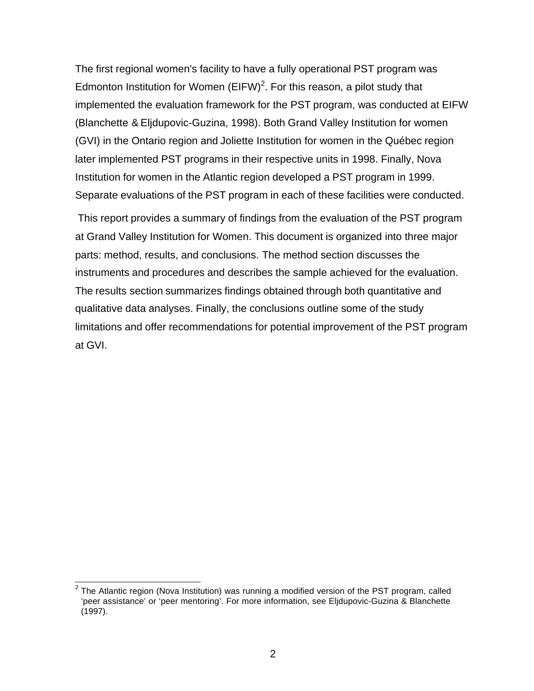The first regional women's facility to have a fully operational PST program was Edmonton Institution for Women  $(EIFW)^2$ . For this reason, a pilot study that implemented the evaluation framework for the PST program, was conducted at EIFW (Blanchette & Eljdupovic-Guzina, 1998). Both Grand Valley Institution for women (GVI) in the Ontario region and Joliette Institution for women in the Québec region later implemented PST programs in their respective units in 1998. Finally, Nova Institution for women in the Atlantic region developed a PST program in 1999. Separate evaluations of the PST program in each of these facilities were conducted.

 This report provides a summary of findings from the evaluation of the PST program at Grand Valley Institution for Women. This document is organized into three major parts: method, results, and conclusions. The method section discusses the instruments and procedures and describes the sample achieved for the evaluation. The results section summarizes findings obtained through both quantitative and qualitative data analyses. Finally, the conclusions outline some of the study limitations and offer recommendations for potential improvement of the PST program at GVI.

 $\overline{a}^2$  The Atlantic region (Nova Institution) was running a modified version of the PST program, called 'peer assistance' or 'peer mentoring'. For more information, see Eljdupovic-Guzina & Blanchette (1997).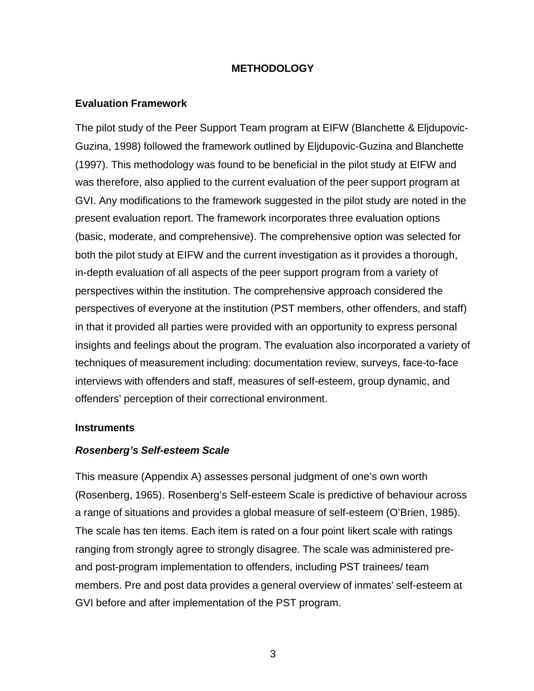# **METHODOLOGY**

### **Evaluation Framework**

The pilot study of the Peer Support Team program at EIFW (Blanchette & Eljdupovic-Guzina, 1998) followed the framework outlined by Eljdupovic-Guzina and Blanchette (1997). This methodology was found to be beneficial in the pilot study at EIFW and was therefore, also applied to the current evaluation of the peer support program at GVI. Any modifications to the framework suggested in the pilot study are noted in the present evaluation report. The framework incorporates three evaluation options (basic, moderate, and comprehensive). The comprehensive option was selected for both the pilot study at EIFW and the current investigation as it provides a thorough, in-depth evaluation of all aspects of the peer support program from a variety of perspectives within the institution. The comprehensive approach considered the perspectives of everyone at the institution (PST members, other offenders, and staff) in that it provided all parties were provided with an opportunity to express personal insights and feelings about the program. The evaluation also incorporated a variety of techniques of measurement including: documentation review, surveys, face-to-face interviews with offenders and staff, measures of self-esteem, group dynamic, and offenders' perception of their correctional environment.

#### **Instruments**

### *Rosenberg's Self-esteem Scale*

This measure (Appendix A) assesses personal judgment of one's own worth (Rosenberg, 1965). Rosenberg's Self-esteem Scale is predictive of behaviour across a range of situations and provides a global measure of self-esteem (O'Brien, 1985). The scale has ten items. Each item is rated on a four point likert scale with ratings ranging from strongly agree to strongly disagree. The scale was administered preand post-program implementation to offenders, including PST trainees/ team members. Pre and post data provides a general overview of inmates' self-esteem at GVI before and after implementation of the PST program.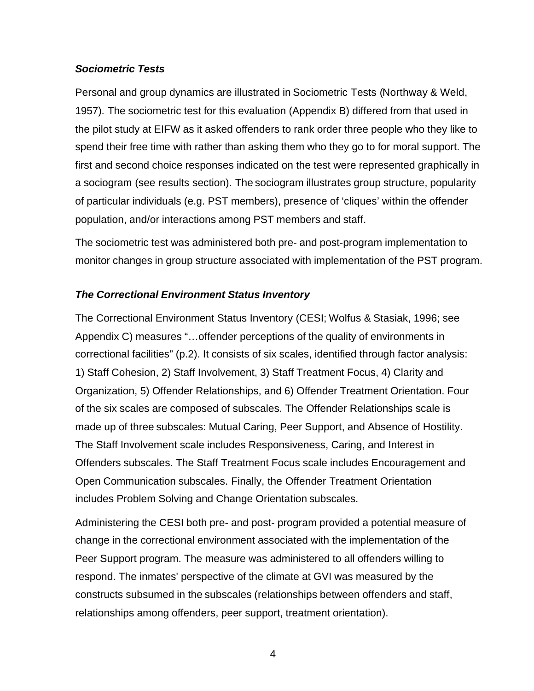# *Sociometric Tests*

Personal and group dynamics are illustrated in Sociometric Tests (Northway & Weld, 1957). The sociometric test for this evaluation (Appendix B) differed from that used in the pilot study at EIFW as it asked offenders to rank order three people who they like to spend their free time with rather than asking them who they go to for moral support. The first and second choice responses indicated on the test were represented graphically in a sociogram (see results section). The sociogram illustrates group structure, popularity of particular individuals (e.g. PST members), presence of 'cliques' within the offender population, and/or interactions among PST members and staff.

The sociometric test was administered both pre- and post-program implementation to monitor changes in group structure associated with implementation of the PST program.

# *The Correctional Environment Status Inventory*

The Correctional Environment Status Inventory (CESI; Wolfus & Stasiak, 1996; see Appendix C) measures "…offender perceptions of the quality of environments in correctional facilities" (p.2). It consists of six scales, identified through factor analysis: 1) Staff Cohesion, 2) Staff Involvement, 3) Staff Treatment Focus, 4) Clarity and Organization, 5) Offender Relationships, and 6) Offender Treatment Orientation. Four of the six scales are composed of subscales. The Offender Relationships scale is made up of three subscales: Mutual Caring, Peer Support, and Absence of Hostility. The Staff Involvement scale includes Responsiveness, Caring, and Interest in Offenders subscales. The Staff Treatment Focus scale includes Encouragement and Open Communication subscales. Finally, the Offender Treatment Orientation includes Problem Solving and Change Orientation subscales.

Administering the CESI both pre- and post- program provided a potential measure of change in the correctional environment associated with the implementation of the Peer Support program. The measure was administered to all offenders willing to respond. The inmates' perspective of the climate at GVI was measured by the constructs subsumed in the subscales (relationships between offenders and staff, relationships among offenders, peer support, treatment orientation).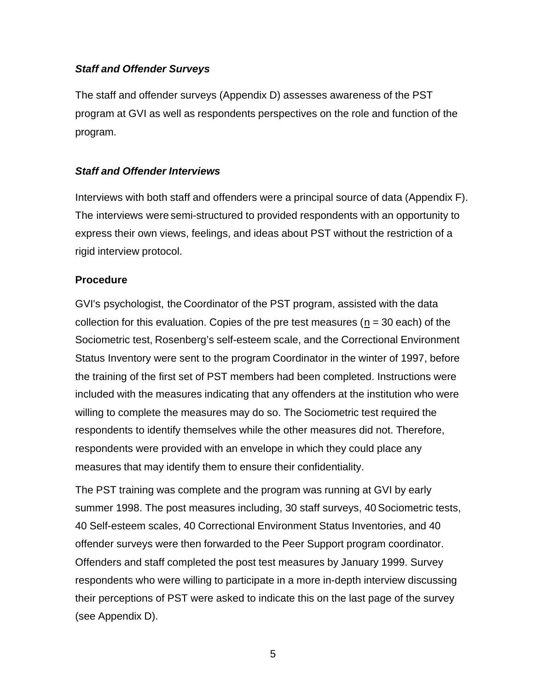# *Staff and Offender Surveys*

The staff and offender surveys (Appendix D) assesses awareness of the PST program at GVI as well as respondents perspectives on the role and function of the program.

# *Staff and Offender Interviews*

Interviews with both staff and offenders were a principal source of data (Appendix F). The interviews were semi-structured to provided respondents with an opportunity to express their own views, feelings, and ideas about PST without the restriction of a rigid interview protocol.

### **Procedure**

GVI's psychologist, the Coordinator of the PST program, assisted with the data collection for this evaluation. Copies of the pre test measures ( $n = 30$  each) of the Sociometric test, Rosenberg's self-esteem scale, and the Correctional Environment Status Inventory were sent to the program Coordinator in the winter of 1997, before the training of the first set of PST members had been completed. Instructions were included with the measures indicating that any offenders at the institution who were willing to complete the measures may do so. The Sociometric test required the respondents to identify themselves while the other measures did not. Therefore, respondents were provided with an envelope in which they could place any measures that may identify them to ensure their confidentiality.

The PST training was complete and the program was running at GVI by early summer 1998. The post measures including, 30 staff surveys, 40 Sociometric tests, 40 Self-esteem scales, 40 Correctional Environment Status Inventories, and 40 offender surveys were then forwarded to the Peer Support program coordinator. Offenders and staff completed the post test measures by January 1999. Survey respondents who were willing to participate in a more in-depth interview discussing their perceptions of PST were asked to indicate this on the last page of the survey (see Appendix D).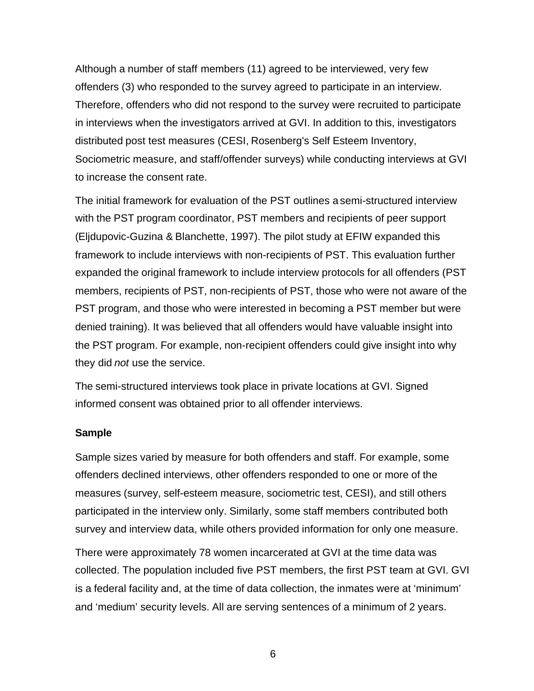Although a number of staff members (11) agreed to be interviewed, very few offenders (3) who responded to the survey agreed to participate in an interview. Therefore, offenders who did not respond to the survey were recruited to participate in interviews when the investigators arrived at GVI. In addition to this, investigators distributed post test measures (CESI, Rosenberg's Self Esteem Inventory, Sociometric measure, and staff/offender surveys) while conducting interviews at GVI to increase the consent rate.

The initial framework for evaluation of the PST outlines a semi-structured interview with the PST program coordinator, PST members and recipients of peer support (Eljdupovic-Guzina & Blanchette, 1997). The pilot study at EFIW expanded this framework to include interviews with non-recipients of PST. This evaluation further expanded the original framework to include interview protocols for all offenders (PST members, recipients of PST, non-recipients of PST, those who were not aware of the PST program, and those who were interested in becoming a PST member but were denied training). It was believed that all offenders would have valuable insight into the PST program. For example, non-recipient offenders could give insight into why they did *not* use the service.

The semi-structured interviews took place in private locations at GVI. Signed informed consent was obtained prior to all offender interviews.

#### **Sample**

Sample sizes varied by measure for both offenders and staff. For example, some offenders declined interviews, other offenders responded to one or more of the measures (survey, self-esteem measure, sociometric test, CESI), and still others participated in the interview only. Similarly, some staff members contributed both survey and interview data, while others provided information for only one measure.

There were approximately 78 women incarcerated at GVI at the time data was collected. The population included five PST members, the first PST team at GVI. GVI is a federal facility and, at the time of data collection, the inmates were at 'minimum' and 'medium' security levels. All are serving sentences of a minimum of 2 years.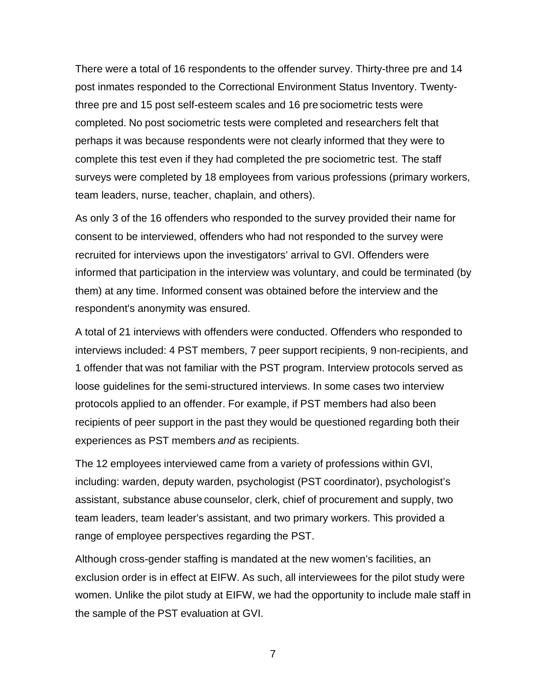There were a total of 16 respondents to the offender survey. Thirty-three pre and 14 post inmates responded to the Correctional Environment Status Inventory. Twentythree pre and 15 post self-esteem scales and 16 pre sociometric tests were completed. No post sociometric tests were completed and researchers felt that perhaps it was because respondents were not clearly informed that they were to complete this test even if they had completed the pre sociometric test. The staff surveys were completed by 18 employees from various professions (primary workers, team leaders, nurse, teacher, chaplain, and others).

As only 3 of the 16 offenders who responded to the survey provided their name for consent to be interviewed, offenders who had not responded to the survey were recruited for interviews upon the investigators' arrival to GVI. Offenders were informed that participation in the interview was voluntary, and could be terminated (by them) at any time. Informed consent was obtained before the interview and the respondent's anonymity was ensured.

A total of 21 interviews with offenders were conducted. Offenders who responded to interviews included: 4 PST members, 7 peer support recipients, 9 non-recipients, and 1 offender that was not familiar with the PST program. Interview protocols served as loose guidelines for the semi-structured interviews. In some cases two interview protocols applied to an offender. For example, if PST members had also been recipients of peer support in the past they would be questioned regarding both their experiences as PST members *and* as recipients.

The 12 employees interviewed came from a variety of professions within GVI, including: warden, deputy warden, psychologist (PST coordinator), psychologist's assistant, substance abuse counselor, clerk, chief of procurement and supply, two team leaders, team leader's assistant, and two primary workers. This provided a range of employee perspectives regarding the PST.

Although cross-gender staffing is mandated at the new women's facilities, an exclusion order is in effect at EIFW. As such, all interviewees for the pilot study were women. Unlike the pilot study at EIFW, we had the opportunity to include male staff in the sample of the PST evaluation at GVI.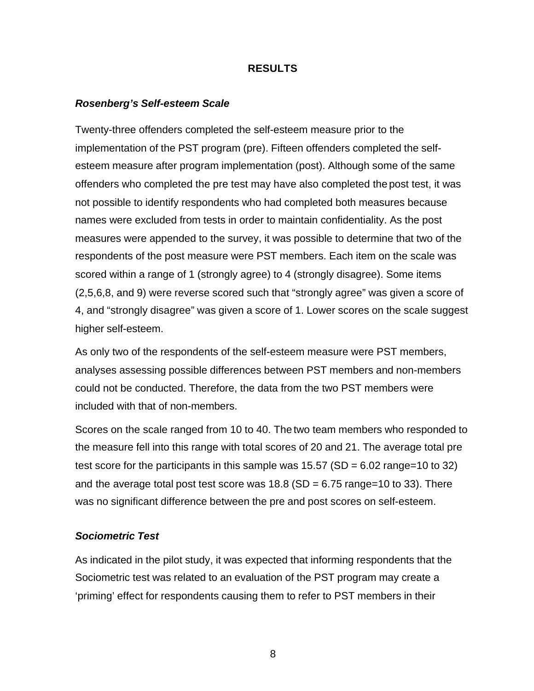### **RESULTS**

#### *Rosenberg's Self-esteem Scale*

Twenty-three offenders completed the self-esteem measure prior to the implementation of the PST program (pre). Fifteen offenders completed the selfesteem measure after program implementation (post). Although some of the same offenders who completed the pre test may have also completed the post test, it was not possible to identify respondents who had completed both measures because names were excluded from tests in order to maintain confidentiality. As the post measures were appended to the survey, it was possible to determine that two of the respondents of the post measure were PST members. Each item on the scale was scored within a range of 1 (strongly agree) to 4 (strongly disagree). Some items (2,5,6,8, and 9) were reverse scored such that "strongly agree" was given a score of 4, and "strongly disagree" was given a score of 1. Lower scores on the scale suggest higher self-esteem.

As only two of the respondents of the self-esteem measure were PST members, analyses assessing possible differences between PST members and non-members could not be conducted. Therefore, the data from the two PST members were included with that of non-members.

Scores on the scale ranged from 10 to 40. The two team members who responded to the measure fell into this range with total scores of 20 and 21. The average total pre test score for the participants in this sample was  $15.57$  (SD = 6.02 range=10 to 32) and the average total post test score was  $18.8$  (SD = 6.75 range=10 to 33). There was no significant difference between the pre and post scores on self-esteem.

#### *Sociometric Test*

As indicated in the pilot study, it was expected that informing respondents that the Sociometric test was related to an evaluation of the PST program may create a 'priming' effect for respondents causing them to refer to PST members in their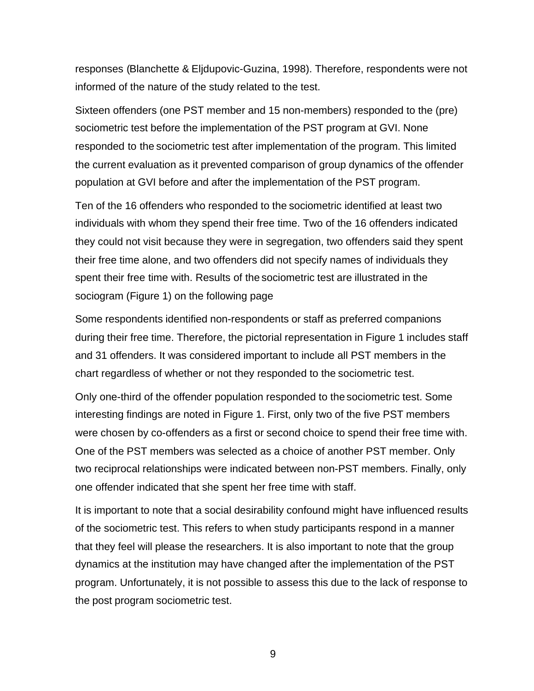responses (Blanchette & Eljdupovic-Guzina, 1998). Therefore, respondents were not informed of the nature of the study related to the test.

Sixteen offenders (one PST member and 15 non-members) responded to the (pre) sociometric test before the implementation of the PST program at GVI. None responded to the sociometric test after implementation of the program. This limited the current evaluation as it prevented comparison of group dynamics of the offender population at GVI before and after the implementation of the PST program.

Ten of the 16 offenders who responded to the sociometric identified at least two individuals with whom they spend their free time. Two of the 16 offenders indicated they could not visit because they were in segregation, two offenders said they spent their free time alone, and two offenders did not specify names of individuals they spent their free time with. Results of the sociometric test are illustrated in the sociogram (Figure 1) on the following page

Some respondents identified non-respondents or staff as preferred companions during their free time. Therefore, the pictorial representation in Figure 1 includes staff and 31 offenders. It was considered important to include all PST members in the chart regardless of whether or not they responded to the sociometric test.

Only one-third of the offender population responded to the sociometric test. Some interesting findings are noted in Figure 1. First, only two of the five PST members were chosen by co-offenders as a first or second choice to spend their free time with. One of the PST members was selected as a choice of another PST member. Only two reciprocal relationships were indicated between non-PST members. Finally, only one offender indicated that she spent her free time with staff.

It is important to note that a social desirability confound might have influenced results of the sociometric test. This refers to when study participants respond in a manner that they feel will please the researchers. It is also important to note that the group dynamics at the institution may have changed after the implementation of the PST program. Unfortunately, it is not possible to assess this due to the lack of response to the post program sociometric test.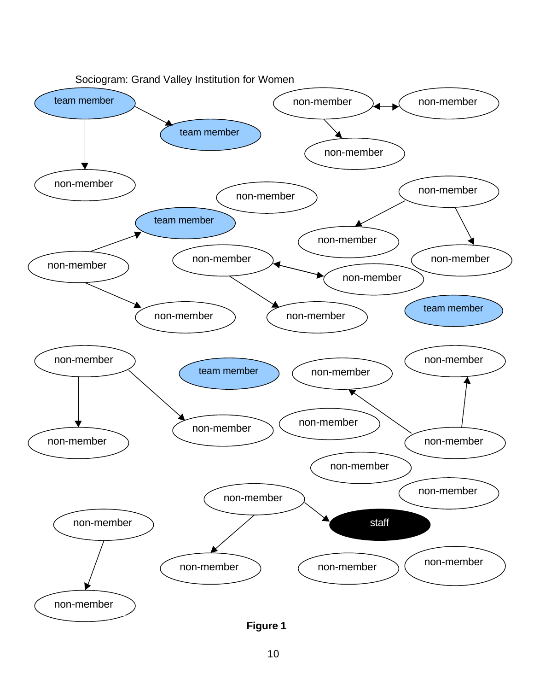

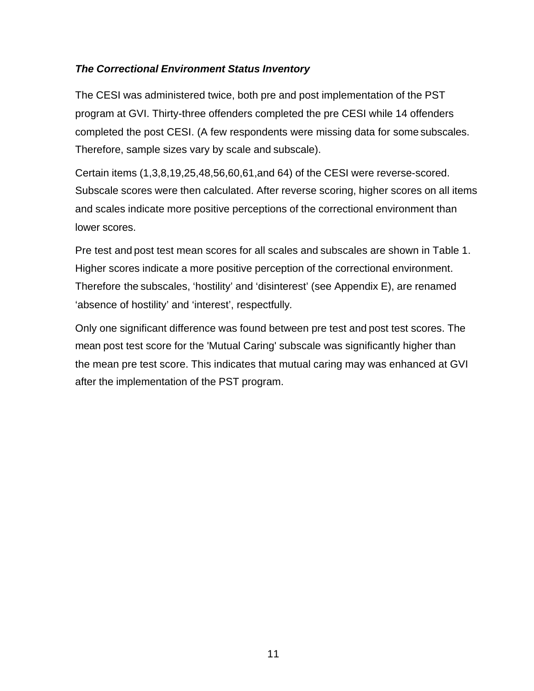# *The Correctional Environment Status Inventory*

The CESI was administered twice, both pre and post implementation of the PST program at GVI. Thirty-three offenders completed the pre CESI while 14 offenders completed the post CESI. (A few respondents were missing data for some subscales. Therefore, sample sizes vary by scale and subscale).

Certain items (1,3,8,19,25,48,56,60,61,and 64) of the CESI were reverse-scored. Subscale scores were then calculated. After reverse scoring, higher scores on all items and scales indicate more positive perceptions of the correctional environment than lower scores.

Pre test and post test mean scores for all scales and subscales are shown in Table 1. Higher scores indicate a more positive perception of the correctional environment. Therefore the subscales, 'hostility' and 'disinterest' (see Appendix E), are renamed 'absence of hostility' and 'interest', respectfully*.*

Only one significant difference was found between pre test and post test scores. The mean post test score for the 'Mutual Caring' subscale was significantly higher than the mean pre test score. This indicates that mutual caring may was enhanced at GVI after the implementation of the PST program.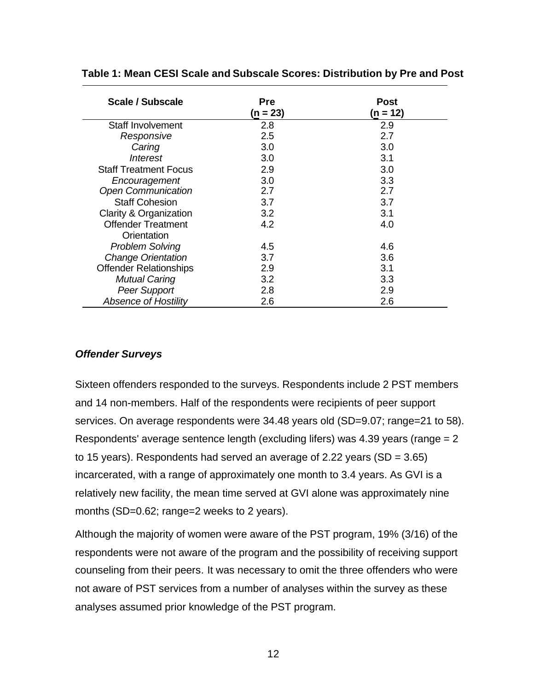| Scale / Subscale              | <b>Pre</b><br>$(n = 23)$ | Post<br>(n = 12) |
|-------------------------------|--------------------------|------------------|
| Staff Involvement             | 2.8                      | 2.9              |
| Responsive                    | 2.5                      | 2.7              |
| Caring                        | 3.0                      | 3.0              |
| Interest                      | 3.0                      | 3.1              |
| <b>Staff Treatment Focus</b>  | 2.9                      | 3.0              |
| Encouragement                 | 3.0                      | 3.3              |
| <b>Open Communication</b>     | 2.7                      | 2.7              |
| <b>Staff Cohesion</b>         | 3.7                      | 3.7              |
| Clarity & Organization        | 3.2                      | 3.1              |
| <b>Offender Treatment</b>     | 4.2                      | 4.0              |
| Orientation                   |                          |                  |
| <b>Problem Solving</b>        | 4.5                      | 4.6              |
| <b>Change Orientation</b>     | 3.7                      | 3.6              |
| <b>Offender Relationships</b> | 2.9                      | 3.1              |
| <b>Mutual Caring</b>          | 3.2                      | 3.3              |
| <b>Peer Support</b>           | 2.8                      | 2.9              |
| <b>Absence of Hostility</b>   | 2.6                      | 2.6              |

#### **Table 1: Mean CESI Scale and Subscale Scores: Distribution by Pre and Post**

### *Offender Surveys*

Sixteen offenders responded to the surveys. Respondents include 2 PST members and 14 non-members. Half of the respondents were recipients of peer support services. On average respondents were 34.48 years old (SD=9.07; range=21 to 58). Respondents' average sentence length (excluding lifers) was 4.39 years (range = 2 to 15 years). Respondents had served an average of 2.22 years (SD = 3.65) incarcerated, with a range of approximately one month to 3.4 years. As GVI is a relatively new facility, the mean time served at GVI alone was approximately nine months (SD=0.62; range=2 weeks to 2 years).

Although the majority of women were aware of the PST program, 19% (3/16) of the respondents were not aware of the program and the possibility of receiving support counseling from their peers*.* It was necessary to omit the three offenders who were not aware of PST services from a number of analyses within the survey as these analyses assumed prior knowledge of the PST program.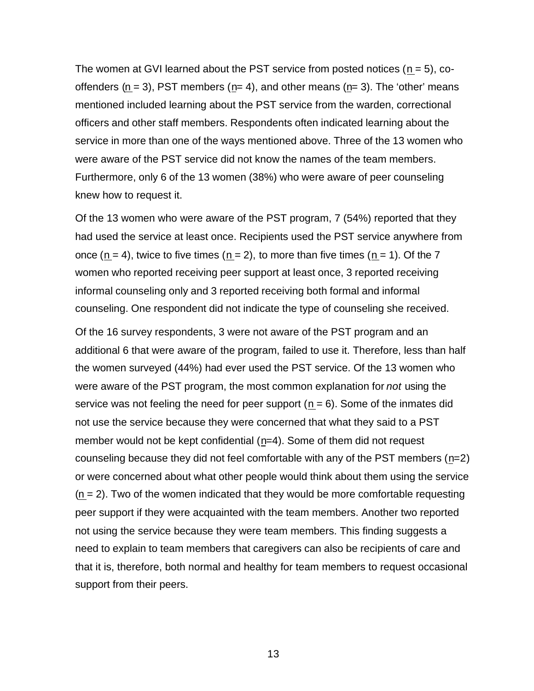The women at GVI learned about the PST service from posted notices  $(n = 5)$ , cooffenders ( $n = 3$ ), PST members ( $n= 4$ ), and other means ( $n= 3$ ). The 'other' means mentioned included learning about the PST service from the warden, correctional officers and other staff members. Respondents often indicated learning about the service in more than one of the ways mentioned above. Three of the 13 women who were aware of the PST service did not know the names of the team members. Furthermore, only 6 of the 13 women (38%) who were aware of peer counseling knew how to request it.

Of the 13 women who were aware of the PST program, 7 (54%) reported that they had used the service at least once. Recipients used the PST service anywhere from once  $(n = 4)$ , twice to five times  $(n = 2)$ , to more than five times  $(n = 1)$ . Of the 7 women who reported receiving peer support at least once, 3 reported receiving informal counseling only and 3 reported receiving both formal and informal counseling. One respondent did not indicate the type of counseling she received.

Of the 16 survey respondents, 3 were not aware of the PST program and an additional 6 that were aware of the program, failed to use it. Therefore, less than half the women surveyed (44%) had ever used the PST service. Of the 13 women who were aware of the PST program, the most common explanation for *not* using the service was not feeling the need for peer support  $(n = 6)$ . Some of the inmates did not use the service because they were concerned that what they said to a PST member would not be kept confidential (n=4). Some of them did not request counseling because they did not feel comfortable with any of the PST members (n=2) or were concerned about what other people would think about them using the service  $(n = 2)$ . Two of the women indicated that they would be more comfortable requesting peer support if they were acquainted with the team members. Another two reported not using the service because they were team members. This finding suggests a need to explain to team members that caregivers can also be recipients of care and that it is, therefore, both normal and healthy for team members to request occasional support from their peers.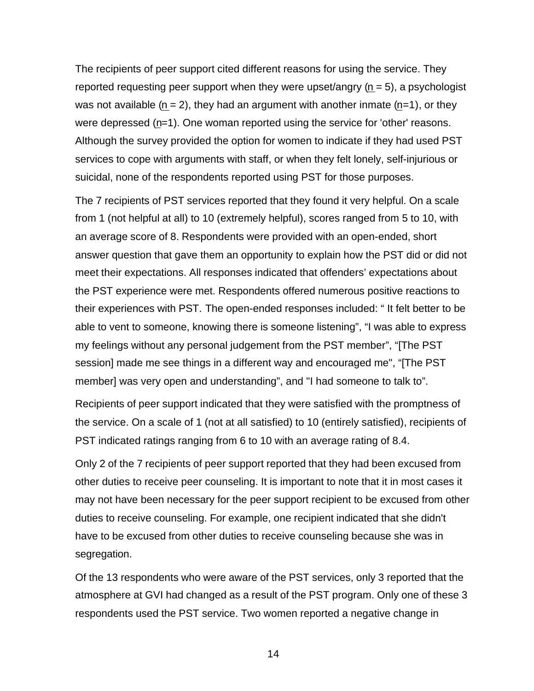The recipients of peer support cited different reasons for using the service. They reported requesting peer support when they were upset/angry  $(n = 5)$ , a psychologist was not available  $(n = 2)$ , they had an argument with another inmate  $(n=1)$ , or they were depressed (n=1). One woman reported using the service for 'other' reasons. Although the survey provided the option for women to indicate if they had used PST services to cope with arguments with staff, or when they felt lonely, self-injurious or suicidal, none of the respondents reported using PST for those purposes.

The 7 recipients of PST services reported that they found it very helpful. On a scale from 1 (not helpful at all) to 10 (extremely helpful), scores ranged from 5 to 10, with an average score of 8. Respondents were provided with an open-ended, short answer question that gave them an opportunity to explain how the PST did or did not meet their expectations. All responses indicated that offenders' expectations about the PST experience were met. Respondents offered numerous positive reactions to their experiences with PST. The open-ended responses included: " It felt better to be able to vent to someone, knowing there is someone listening", "I was able to express my feelings without any personal judgement from the PST member", "[The PST session] made me see things in a different way and encouraged me", "[The PST member] was very open and understanding", and "I had someone to talk to".

Recipients of peer support indicated that they were satisfied with the promptness of the service. On a scale of 1 (not at all satisfied) to 10 (entirely satisfied), recipients of PST indicated ratings ranging from 6 to 10 with an average rating of 8.4.

Only 2 of the 7 recipients of peer support reported that they had been excused from other duties to receive peer counseling. It is important to note that it in most cases it may not have been necessary for the peer support recipient to be excused from other duties to receive counseling. For example, one recipient indicated that she didn't have to be excused from other duties to receive counseling because she was in segregation.

Of the 13 respondents who were aware of the PST services, only 3 reported that the atmosphere at GVI had changed as a result of the PST program. Only one of these 3 respondents used the PST service. Two women reported a negative change in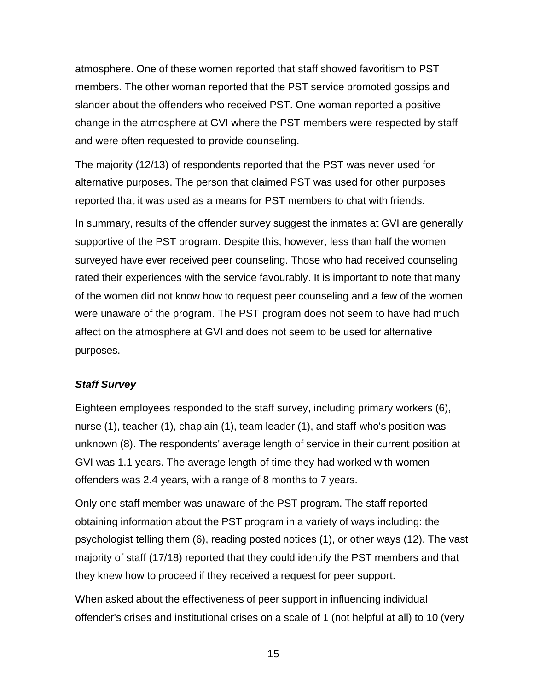atmosphere. One of these women reported that staff showed favoritism to PST members. The other woman reported that the PST service promoted gossips and slander about the offenders who received PST. One woman reported a positive change in the atmosphere at GVI where the PST members were respected by staff and were often requested to provide counseling.

The majority (12/13) of respondents reported that the PST was never used for alternative purposes. The person that claimed PST was used for other purposes reported that it was used as a means for PST members to chat with friends.

In summary, results of the offender survey suggest the inmates at GVI are generally supportive of the PST program. Despite this, however, less than half the women surveyed have ever received peer counseling. Those who had received counseling rated their experiences with the service favourably. It is important to note that many of the women did not know how to request peer counseling and a few of the women were unaware of the program. The PST program does not seem to have had much affect on the atmosphere at GVI and does not seem to be used for alternative purposes.

### *Staff Survey*

Eighteen employees responded to the staff survey, including primary workers (6), nurse (1), teacher (1), chaplain (1), team leader (1), and staff who's position was unknown (8). The respondents' average length of service in their current position at GVI was 1.1 years. The average length of time they had worked with women offenders was 2.4 years, with a range of 8 months to 7 years.

Only one staff member was unaware of the PST program. The staff reported obtaining information about the PST program in a variety of ways including: the psychologist telling them (6), reading posted notices (1), or other ways (12). The vast majority of staff (17/18) reported that they could identify the PST members and that they knew how to proceed if they received a request for peer support.

When asked about the effectiveness of peer support in influencing individual offender's crises and institutional crises on a scale of 1 (not helpful at all) to 10 (very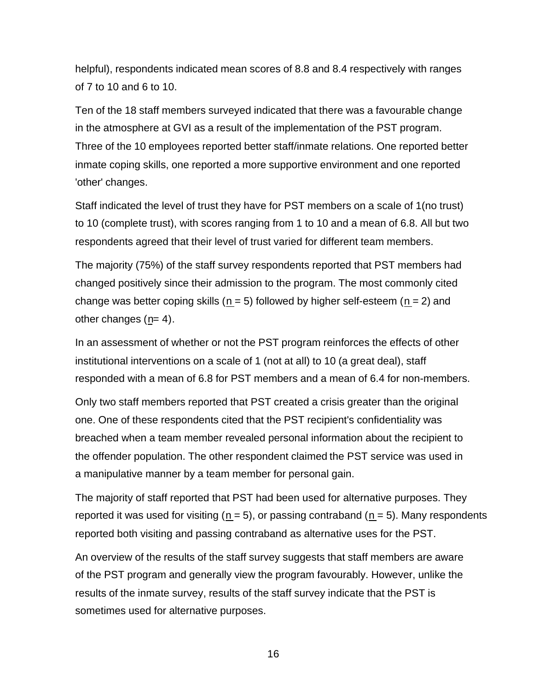helpful), respondents indicated mean scores of 8.8 and 8.4 respectively with ranges of 7 to 10 and 6 to 10.

Ten of the 18 staff members surveyed indicated that there was a favourable change in the atmosphere at GVI as a result of the implementation of the PST program. Three of the 10 employees reported better staff/inmate relations. One reported better inmate coping skills, one reported a more supportive environment and one reported 'other' changes.

Staff indicated the level of trust they have for PST members on a scale of 1(no trust) to 10 (complete trust), with scores ranging from 1 to 10 and a mean of 6.8. All but two respondents agreed that their level of trust varied for different team members.

The majority (75%) of the staff survey respondents reported that PST members had changed positively since their admission to the program. The most commonly cited change was better coping skills ( $n = 5$ ) followed by higher self-esteem ( $n = 2$ ) and other changes  $(n= 4)$ .

In an assessment of whether or not the PST program reinforces the effects of other institutional interventions on a scale of 1 (not at all) to 10 (a great deal), staff responded with a mean of 6.8 for PST members and a mean of 6.4 for non-members.

Only two staff members reported that PST created a crisis greater than the original one. One of these respondents cited that the PST recipient's confidentiality was breached when a team member revealed personal information about the recipient to the offender population. The other respondent claimed the PST service was used in a manipulative manner by a team member for personal gain.

The majority of staff reported that PST had been used for alternative purposes. They reported it was used for visiting ( $n = 5$ ), or passing contraband ( $n = 5$ ). Many respondents reported both visiting and passing contraband as alternative uses for the PST.

An overview of the results of the staff survey suggests that staff members are aware of the PST program and generally view the program favourably. However, unlike the results of the inmate survey, results of the staff survey indicate that the PST is sometimes used for alternative purposes.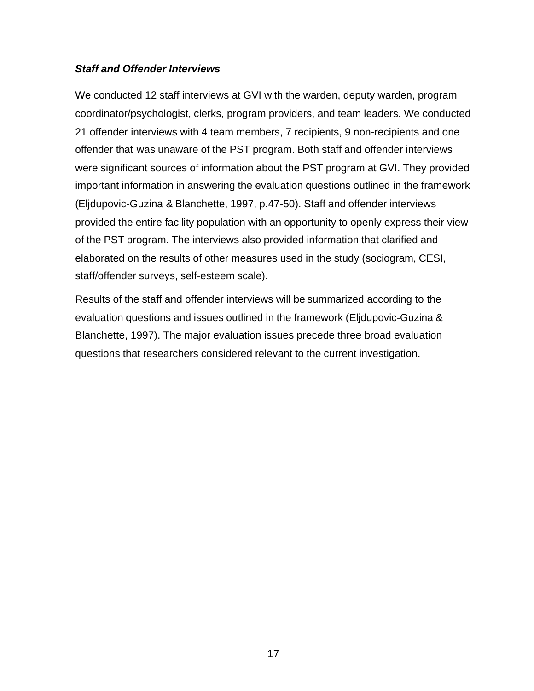# *Staff and Offender Interviews*

We conducted 12 staff interviews at GVI with the warden, deputy warden, program coordinator/psychologist, clerks, program providers, and team leaders. We conducted 21 offender interviews with 4 team members, 7 recipients, 9 non-recipients and one offender that was unaware of the PST program. Both staff and offender interviews were significant sources of information about the PST program at GVI. They provided important information in answering the evaluation questions outlined in the framework (Eljdupovic-Guzina & Blanchette, 1997, p.47-50). Staff and offender interviews provided the entire facility population with an opportunity to openly express their view of the PST program. The interviews also provided information that clarified and elaborated on the results of other measures used in the study (sociogram, CESI, staff/offender surveys, self-esteem scale).

Results of the staff and offender interviews will be summarized according to the evaluation questions and issues outlined in the framework (Eljdupovic-Guzina & Blanchette, 1997). The major evaluation issues precede three broad evaluation questions that researchers considered relevant to the current investigation.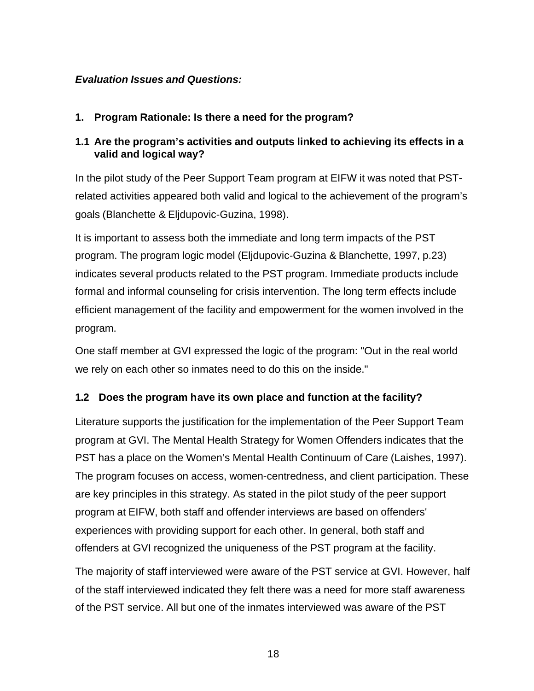# *Evaluation Issues and Questions:*

# **1. Program Rationale: Is there a need for the program?**

# **1.1 Are the program's activities and outputs linked to achieving its effects in a valid and logical way?**

In the pilot study of the Peer Support Team program at EIFW it was noted that PSTrelated activities appeared both valid and logical to the achievement of the program's goals (Blanchette & Eljdupovic-Guzina, 1998).

It is important to assess both the immediate and long term impacts of the PST program. The program logic model (Eljdupovic-Guzina & Blanchette, 1997, p.23) indicates several products related to the PST program. Immediate products include formal and informal counseling for crisis intervention. The long term effects include efficient management of the facility and empowerment for the women involved in the program.

One staff member at GVI expressed the logic of the program: "Out in the real world we rely on each other so inmates need to do this on the inside."

# **1.2 Does the program have its own place and function at the facility?**

Literature supports the justification for the implementation of the Peer Support Team program at GVI. The Mental Health Strategy for Women Offenders indicates that the PST has a place on the Women's Mental Health Continuum of Care (Laishes, 1997). The program focuses on access, women-centredness, and client participation. These are key principles in this strategy. As stated in the pilot study of the peer support program at EIFW, both staff and offender interviews are based on offenders' experiences with providing support for each other. In general, both staff and offenders at GVI recognized the uniqueness of the PST program at the facility.

The majority of staff interviewed were aware of the PST service at GVI. However, half of the staff interviewed indicated they felt there was a need for more staff awareness of the PST service. All but one of the inmates interviewed was aware of the PST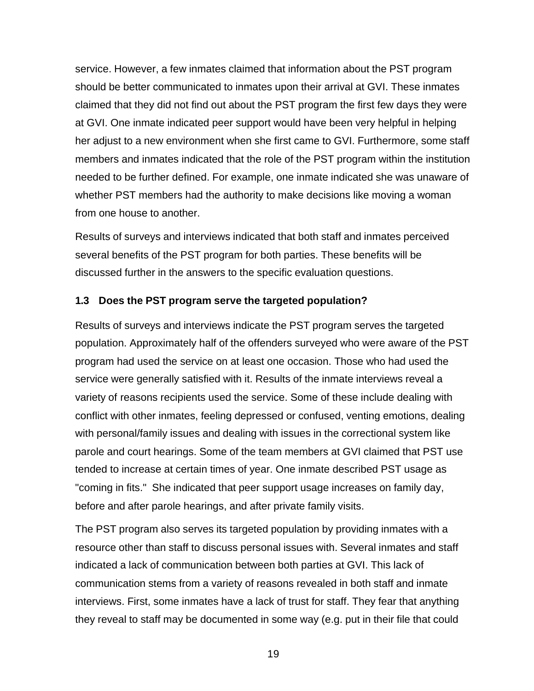service. However, a few inmates claimed that information about the PST program should be better communicated to inmates upon their arrival at GVI. These inmates claimed that they did not find out about the PST program the first few days they were at GVI. One inmate indicated peer support would have been very helpful in helping her adjust to a new environment when she first came to GVI. Furthermore, some staff members and inmates indicated that the role of the PST program within the institution needed to be further defined. For example, one inmate indicated she was unaware of whether PST members had the authority to make decisions like moving a woman from one house to another.

Results of surveys and interviews indicated that both staff and inmates perceived several benefits of the PST program for both parties. These benefits will be discussed further in the answers to the specific evaluation questions.

#### **1.3 Does the PST program serve the targeted population?**

Results of surveys and interviews indicate the PST program serves the targeted population. Approximately half of the offenders surveyed who were aware of the PST program had used the service on at least one occasion. Those who had used the service were generally satisfied with it. Results of the inmate interviews reveal a variety of reasons recipients used the service. Some of these include dealing with conflict with other inmates, feeling depressed or confused, venting emotions, dealing with personal/family issues and dealing with issues in the correctional system like parole and court hearings. Some of the team members at GVI claimed that PST use tended to increase at certain times of year. One inmate described PST usage as "coming in fits." She indicated that peer support usage increases on family day, before and after parole hearings, and after private family visits.

The PST program also serves its targeted population by providing inmates with a resource other than staff to discuss personal issues with. Several inmates and staff indicated a lack of communication between both parties at GVI. This lack of communication stems from a variety of reasons revealed in both staff and inmate interviews. First, some inmates have a lack of trust for staff. They fear that anything they reveal to staff may be documented in some way (e.g. put in their file that could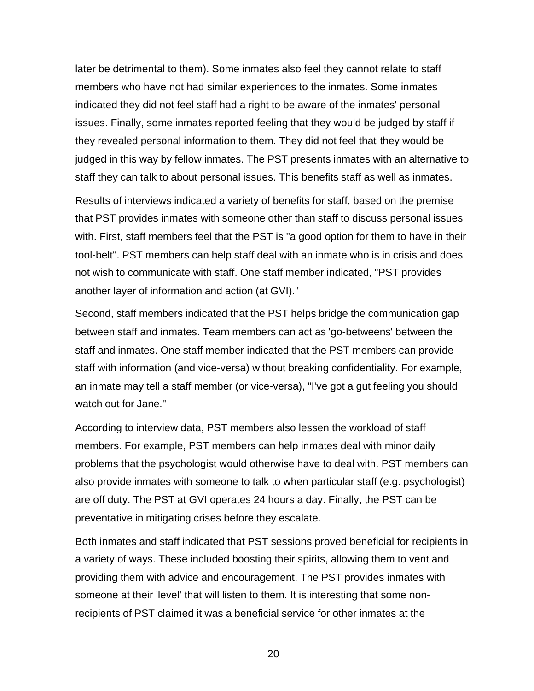later be detrimental to them). Some inmates also feel they cannot relate to staff members who have not had similar experiences to the inmates. Some inmates indicated they did not feel staff had a right to be aware of the inmates' personal issues. Finally, some inmates reported feeling that they would be judged by staff if they revealed personal information to them. They did not feel that they would be judged in this way by fellow inmates. The PST presents inmates with an alternative to staff they can talk to about personal issues. This benefits staff as well as inmates.

Results of interviews indicated a variety of benefits for staff, based on the premise that PST provides inmates with someone other than staff to discuss personal issues with. First, staff members feel that the PST is "a good option for them to have in their tool-belt". PST members can help staff deal with an inmate who is in crisis and does not wish to communicate with staff. One staff member indicated, "PST provides another layer of information and action (at GVI)."

Second, staff members indicated that the PST helps bridge the communication gap between staff and inmates. Team members can act as 'go-betweens' between the staff and inmates. One staff member indicated that the PST members can provide staff with information (and vice-versa) without breaking confidentiality. For example, an inmate may tell a staff member (or vice-versa), "I've got a gut feeling you should watch out for Jane."

According to interview data, PST members also lessen the workload of staff members. For example, PST members can help inmates deal with minor daily problems that the psychologist would otherwise have to deal with. PST members can also provide inmates with someone to talk to when particular staff (e.g. psychologist) are off duty. The PST at GVI operates 24 hours a day. Finally, the PST can be preventative in mitigating crises before they escalate.

Both inmates and staff indicated that PST sessions proved beneficial for recipients in a variety of ways. These included boosting their spirits, allowing them to vent and providing them with advice and encouragement. The PST provides inmates with someone at their 'level' that will listen to them. It is interesting that some nonrecipients of PST claimed it was a beneficial service for other inmates at the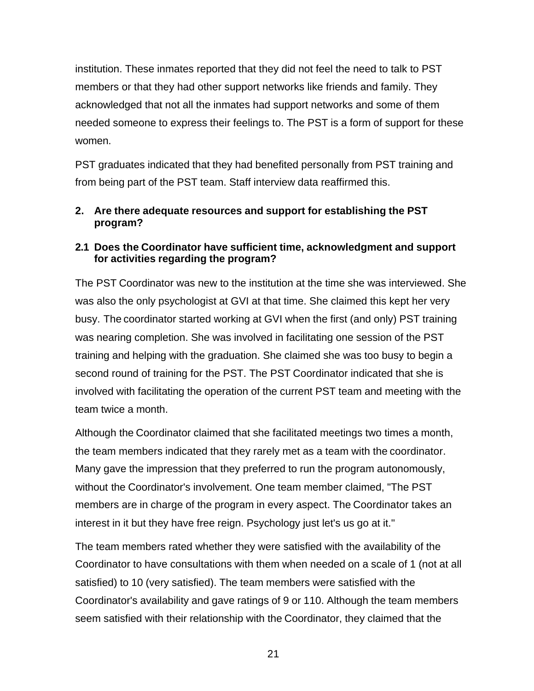institution. These inmates reported that they did not feel the need to talk to PST members or that they had other support networks like friends and family. They acknowledged that not all the inmates had support networks and some of them needed someone to express their feelings to. The PST is a form of support for these women.

PST graduates indicated that they had benefited personally from PST training and from being part of the PST team. Staff interview data reaffirmed this.

# **2. Are there adequate resources and support for establishing the PST program?**

# **2.1 Does the Coordinator have sufficient time, acknowledgment and support for activities regarding the program?**

The PST Coordinator was new to the institution at the time she was interviewed. She was also the only psychologist at GVI at that time. She claimed this kept her very busy. The coordinator started working at GVI when the first (and only) PST training was nearing completion. She was involved in facilitating one session of the PST training and helping with the graduation. She claimed she was too busy to begin a second round of training for the PST. The PST Coordinator indicated that she is involved with facilitating the operation of the current PST team and meeting with the team twice a month.

Although the Coordinator claimed that she facilitated meetings two times a month, the team members indicated that they rarely met as a team with the coordinator. Many gave the impression that they preferred to run the program autonomously, without the Coordinator's involvement. One team member claimed, "The PST members are in charge of the program in every aspect. The Coordinator takes an interest in it but they have free reign. Psychology just let's us go at it."

The team members rated whether they were satisfied with the availability of the Coordinator to have consultations with them when needed on a scale of 1 (not at all satisfied) to 10 (very satisfied). The team members were satisfied with the Coordinator's availability and gave ratings of 9 or 110. Although the team members seem satisfied with their relationship with the Coordinator, they claimed that the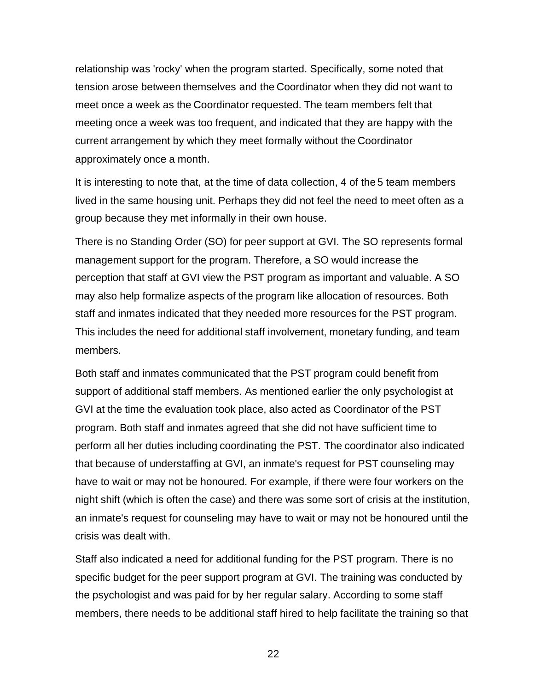relationship was 'rocky' when the program started. Specifically, some noted that tension arose between themselves and the Coordinator when they did not want to meet once a week as the Coordinator requested. The team members felt that meeting once a week was too frequent, and indicated that they are happy with the current arrangement by which they meet formally without the Coordinator approximately once a month.

It is interesting to note that, at the time of data collection, 4 of the 5 team members lived in the same housing unit. Perhaps they did not feel the need to meet often as a group because they met informally in their own house.

There is no Standing Order (SO) for peer support at GVI. The SO represents formal management support for the program. Therefore, a SO would increase the perception that staff at GVI view the PST program as important and valuable. A SO may also help formalize aspects of the program like allocation of resources. Both staff and inmates indicated that they needed more resources for the PST program. This includes the need for additional staff involvement, monetary funding, and team members.

Both staff and inmates communicated that the PST program could benefit from support of additional staff members. As mentioned earlier the only psychologist at GVI at the time the evaluation took place, also acted as Coordinator of the PST program. Both staff and inmates agreed that she did not have sufficient time to perform all her duties including coordinating the PST. The coordinator also indicated that because of understaffing at GVI, an inmate's request for PST counseling may have to wait or may not be honoured. For example, if there were four workers on the night shift (which is often the case) and there was some sort of crisis at the institution, an inmate's request for counseling may have to wait or may not be honoured until the crisis was dealt with.

Staff also indicated a need for additional funding for the PST program. There is no specific budget for the peer support program at GVI. The training was conducted by the psychologist and was paid for by her regular salary. According to some staff members, there needs to be additional staff hired to help facilitate the training so that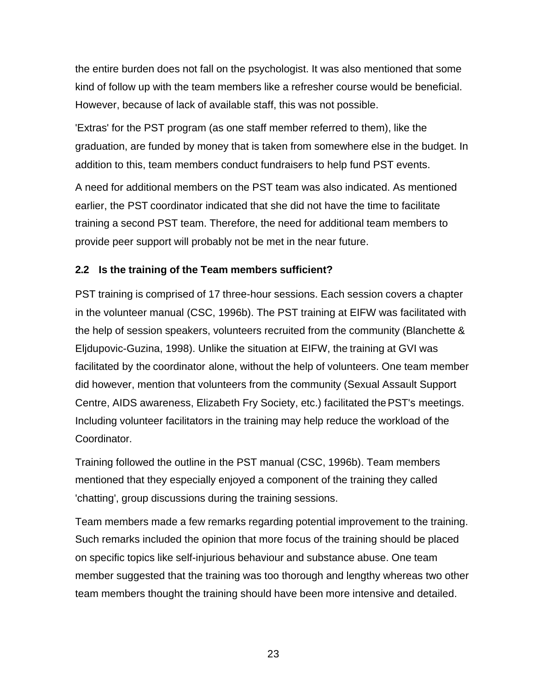the entire burden does not fall on the psychologist. It was also mentioned that some kind of follow up with the team members like a refresher course would be beneficial. However, because of lack of available staff, this was not possible.

'Extras' for the PST program (as one staff member referred to them), like the graduation, are funded by money that is taken from somewhere else in the budget. In addition to this, team members conduct fundraisers to help fund PST events.

A need for additional members on the PST team was also indicated. As mentioned earlier, the PST coordinator indicated that she did not have the time to facilitate training a second PST team. Therefore, the need for additional team members to provide peer support will probably not be met in the near future.

# **2.2 Is the training of the Team members sufficient?**

PST training is comprised of 17 three-hour sessions. Each session covers a chapter in the volunteer manual (CSC, 1996b). The PST training at EIFW was facilitated with the help of session speakers, volunteers recruited from the community (Blanchette & Eljdupovic-Guzina, 1998). Unlike the situation at EIFW, the training at GVI was facilitated by the coordinator alone, without the help of volunteers. One team member did however, mention that volunteers from the community (Sexual Assault Support Centre, AIDS awareness, Elizabeth Fry Society, etc.) facilitated the PST's meetings. Including volunteer facilitators in the training may help reduce the workload of the Coordinator.

Training followed the outline in the PST manual (CSC, 1996b). Team members mentioned that they especially enjoyed a component of the training they called 'chatting', group discussions during the training sessions.

Team members made a few remarks regarding potential improvement to the training. Such remarks included the opinion that more focus of the training should be placed on specific topics like self-injurious behaviour and substance abuse. One team member suggested that the training was too thorough and lengthy whereas two other team members thought the training should have been more intensive and detailed.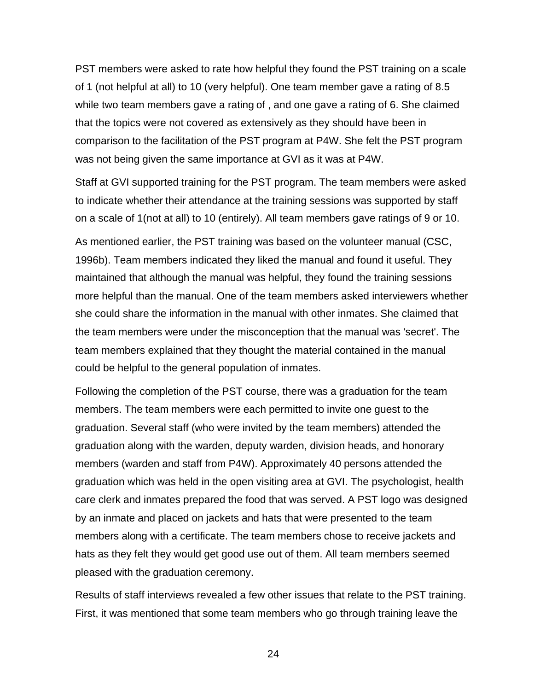PST members were asked to rate how helpful they found the PST training on a scale of 1 (not helpful at all) to 10 (very helpful). One team member gave a rating of 8.5 while two team members gave a rating of , and one gave a rating of 6. She claimed that the topics were not covered as extensively as they should have been in comparison to the facilitation of the PST program at P4W. She felt the PST program was not being given the same importance at GVI as it was at P4W.

Staff at GVI supported training for the PST program. The team members were asked to indicate whether their attendance at the training sessions was supported by staff on a scale of 1(not at all) to 10 (entirely). All team members gave ratings of 9 or 10.

As mentioned earlier, the PST training was based on the volunteer manual (CSC, 1996b). Team members indicated they liked the manual and found it useful. They maintained that although the manual was helpful, they found the training sessions more helpful than the manual. One of the team members asked interviewers whether she could share the information in the manual with other inmates. She claimed that the team members were under the misconception that the manual was 'secret'. The team members explained that they thought the material contained in the manual could be helpful to the general population of inmates.

Following the completion of the PST course, there was a graduation for the team members. The team members were each permitted to invite one guest to the graduation. Several staff (who were invited by the team members) attended the graduation along with the warden, deputy warden, division heads, and honorary members (warden and staff from P4W). Approximately 40 persons attended the graduation which was held in the open visiting area at GVI. The psychologist, health care clerk and inmates prepared the food that was served. A PST logo was designed by an inmate and placed on jackets and hats that were presented to the team members along with a certificate. The team members chose to receive jackets and hats as they felt they would get good use out of them. All team members seemed pleased with the graduation ceremony.

Results of staff interviews revealed a few other issues that relate to the PST training. First, it was mentioned that some team members who go through training leave the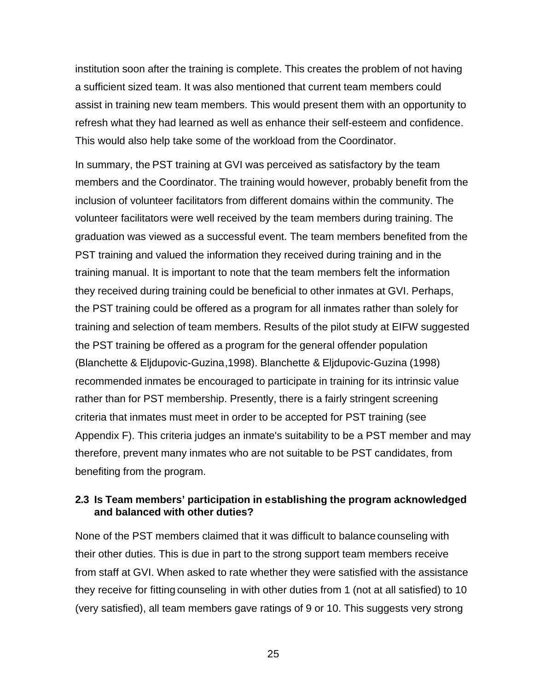institution soon after the training is complete. This creates the problem of not having a sufficient sized team. It was also mentioned that current team members could assist in training new team members. This would present them with an opportunity to refresh what they had learned as well as enhance their self-esteem and confidence. This would also help take some of the workload from the Coordinator.

In summary, the PST training at GVI was perceived as satisfactory by the team members and the Coordinator. The training would however, probably benefit from the inclusion of volunteer facilitators from different domains within the community. The volunteer facilitators were well received by the team members during training. The graduation was viewed as a successful event. The team members benefited from the PST training and valued the information they received during training and in the training manual. It is important to note that the team members felt the information they received during training could be beneficial to other inmates at GVI. Perhaps, the PST training could be offered as a program for all inmates rather than solely for training and selection of team members. Results of the pilot study at EIFW suggested the PST training be offered as a program for the general offender population (Blanchette & Eljdupovic-Guzina,1998). Blanchette & Eljdupovic-Guzina (1998) recommended inmates be encouraged to participate in training for its intrinsic value rather than for PST membership. Presently, there is a fairly stringent screening criteria that inmates must meet in order to be accepted for PST training (see Appendix F). This criteria judges an inmate's suitability to be a PST member and may therefore, prevent many inmates who are not suitable to be PST candidates, from benefiting from the program.

# **2.3 Is Team members' participation in establishing the program acknowledged and balanced with other duties?**

None of the PST members claimed that it was difficult to balance counseling with their other duties. This is due in part to the strong support team members receive from staff at GVI. When asked to rate whether they were satisfied with the assistance they receive for fitting counseling in with other duties from 1 (not at all satisfied) to 10 (very satisfied), all team members gave ratings of 9 or 10. This suggests very strong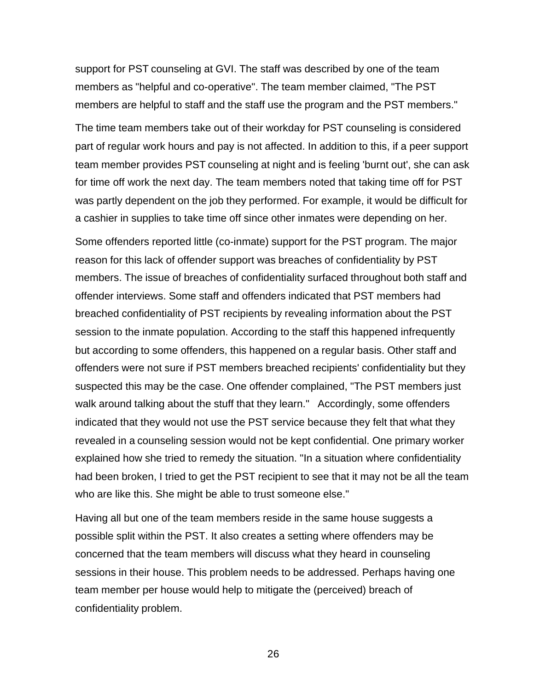support for PST counseling at GVI. The staff was described by one of the team members as "helpful and co-operative". The team member claimed, "The PST members are helpful to staff and the staff use the program and the PST members."

The time team members take out of their workday for PST counseling is considered part of regular work hours and pay is not affected. In addition to this, if a peer support team member provides PST counseling at night and is feeling 'burnt out', she can ask for time off work the next day. The team members noted that taking time off for PST was partly dependent on the job they performed. For example, it would be difficult for a cashier in supplies to take time off since other inmates were depending on her.

Some offenders reported little (co-inmate) support for the PST program. The major reason for this lack of offender support was breaches of confidentiality by PST members. The issue of breaches of confidentiality surfaced throughout both staff and offender interviews. Some staff and offenders indicated that PST members had breached confidentiality of PST recipients by revealing information about the PST session to the inmate population. According to the staff this happened infrequently but according to some offenders, this happened on a regular basis. Other staff and offenders were not sure if PST members breached recipients' confidentiality but they suspected this may be the case. One offender complained, "The PST members just walk around talking about the stuff that they learn." Accordingly, some offenders indicated that they would not use the PST service because they felt that what they revealed in a counseling session would not be kept confidential. One primary worker explained how she tried to remedy the situation. "In a situation where confidentiality had been broken, I tried to get the PST recipient to see that it may not be all the team who are like this. She might be able to trust someone else."

Having all but one of the team members reside in the same house suggests a possible split within the PST. It also creates a setting where offenders may be concerned that the team members will discuss what they heard in counseling sessions in their house. This problem needs to be addressed. Perhaps having one team member per house would help to mitigate the (perceived) breach of confidentiality problem.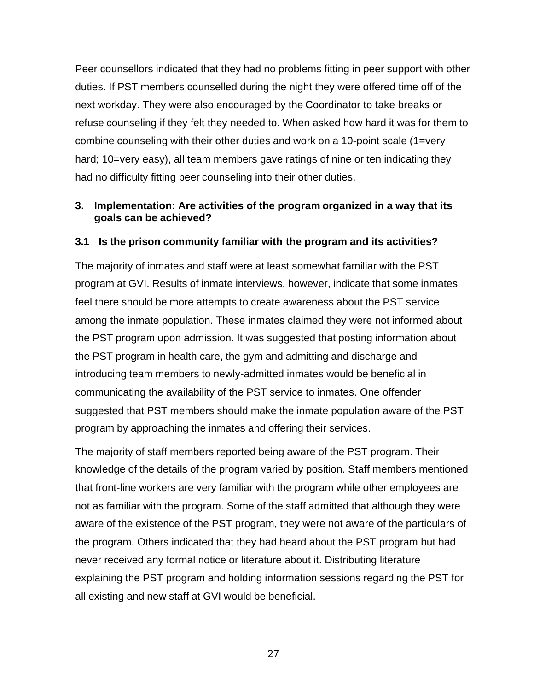Peer counsellors indicated that they had no problems fitting in peer support with other duties. If PST members counselled during the night they were offered time off of the next workday. They were also encouraged by the Coordinator to take breaks or refuse counseling if they felt they needed to. When asked how hard it was for them to combine counseling with their other duties and work on a 10-point scale (1=very hard; 10=very easy), all team members gave ratings of nine or ten indicating they had no difficulty fitting peer counseling into their other duties.

# **3. Implementation: Are activities of the program organized in a way that its goals can be achieved?**

# **3.1 Is the prison community familiar with the program and its activities?**

The majority of inmates and staff were at least somewhat familiar with the PST program at GVI. Results of inmate interviews, however, indicate that some inmates feel there should be more attempts to create awareness about the PST service among the inmate population. These inmates claimed they were not informed about the PST program upon admission. It was suggested that posting information about the PST program in health care, the gym and admitting and discharge and introducing team members to newly-admitted inmates would be beneficial in communicating the availability of the PST service to inmates. One offender suggested that PST members should make the inmate population aware of the PST program by approaching the inmates and offering their services.

The majority of staff members reported being aware of the PST program. Their knowledge of the details of the program varied by position. Staff members mentioned that front-line workers are very familiar with the program while other employees are not as familiar with the program. Some of the staff admitted that although they were aware of the existence of the PST program, they were not aware of the particulars of the program. Others indicated that they had heard about the PST program but had never received any formal notice or literature about it. Distributing literature explaining the PST program and holding information sessions regarding the PST for all existing and new staff at GVI would be beneficial.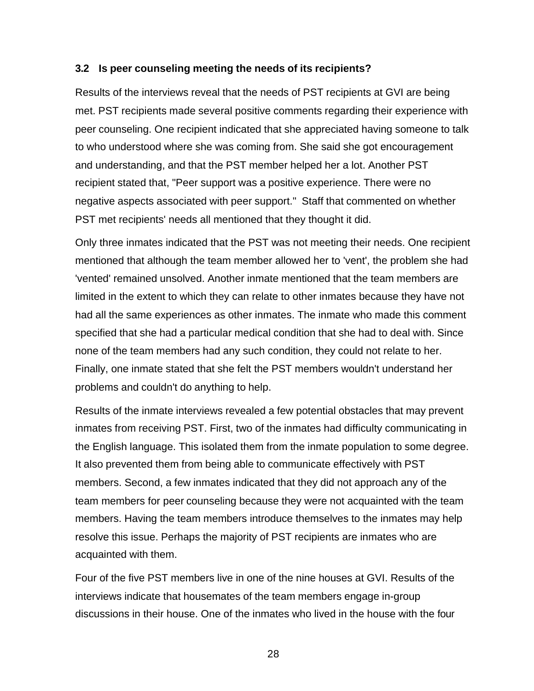### **3.2 Is peer counseling meeting the needs of its recipients?**

Results of the interviews reveal that the needs of PST recipients at GVI are being met. PST recipients made several positive comments regarding their experience with peer counseling. One recipient indicated that she appreciated having someone to talk to who understood where she was coming from. She said she got encouragement and understanding, and that the PST member helped her a lot. Another PST recipient stated that, "Peer support was a positive experience. There were no negative aspects associated with peer support." Staff that commented on whether PST met recipients' needs all mentioned that they thought it did.

Only three inmates indicated that the PST was not meeting their needs. One recipient mentioned that although the team member allowed her to 'vent', the problem she had 'vented' remained unsolved. Another inmate mentioned that the team members are limited in the extent to which they can relate to other inmates because they have not had all the same experiences as other inmates. The inmate who made this comment specified that she had a particular medical condition that she had to deal with. Since none of the team members had any such condition, they could not relate to her. Finally, one inmate stated that she felt the PST members wouldn't understand her problems and couldn't do anything to help.

Results of the inmate interviews revealed a few potential obstacles that may prevent inmates from receiving PST. First, two of the inmates had difficulty communicating in the English language. This isolated them from the inmate population to some degree. It also prevented them from being able to communicate effectively with PST members. Second, a few inmates indicated that they did not approach any of the team members for peer counseling because they were not acquainted with the team members. Having the team members introduce themselves to the inmates may help resolve this issue. Perhaps the majority of PST recipients are inmates who are acquainted with them.

Four of the five PST members live in one of the nine houses at GVI. Results of the interviews indicate that housemates of the team members engage in-group discussions in their house. One of the inmates who lived in the house with the four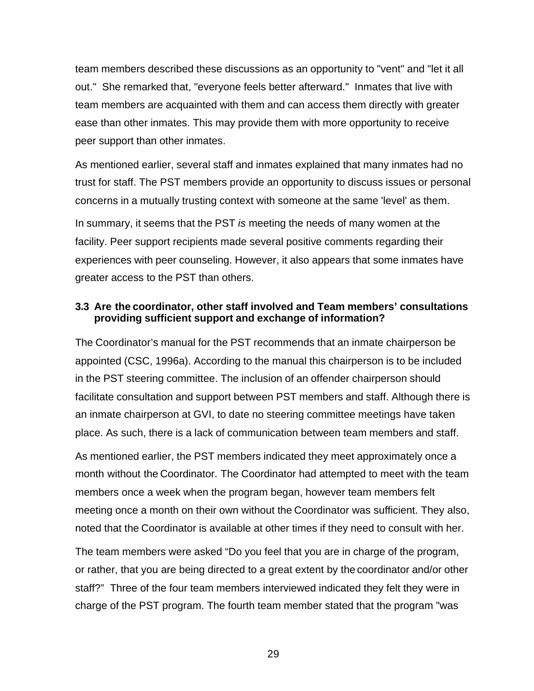team members described these discussions as an opportunity to "vent" and "let it all out." She remarked that, "everyone feels better afterward." Inmates that live with team members are acquainted with them and can access them directly with greater ease than other inmates. This may provide them with more opportunity to receive peer support than other inmates.

As mentioned earlier, several staff and inmates explained that many inmates had no trust for staff. The PST members provide an opportunity to discuss issues or personal concerns in a mutually trusting context with someone at the same 'level' as them. In summary, it seems that the PST *is* meeting the needs of many women at the facility. Peer support recipients made several positive comments regarding their experiences with peer counseling. However, it also appears that some inmates have greater access to the PST than others.

### **3.3 Are the coordinator, other staff involved and Team members' consultations providing sufficient support and exchange of information?**

The Coordinator's manual for the PST recommends that an inmate chairperson be appointed (CSC, 1996a). According to the manual this chairperson is to be included in the PST steering committee. The inclusion of an offender chairperson should facilitate consultation and support between PST members and staff. Although there is an inmate chairperson at GVI, to date no steering committee meetings have taken place. As such, there is a lack of communication between team members and staff.

As mentioned earlier, the PST members indicated they meet approximately once a month without the Coordinator. The Coordinator had attempted to meet with the team members once a week when the program began, however team members felt meeting once a month on their own without the Coordinator was sufficient. They also, noted that the Coordinator is available at other times if they need to consult with her.

The team members were asked "Do you feel that you are in charge of the program, or rather, that you are being directed to a great extent by the coordinator and/or other staff?" Three of the four team members interviewed indicated they felt they were in charge of the PST program. The fourth team member stated that the program "was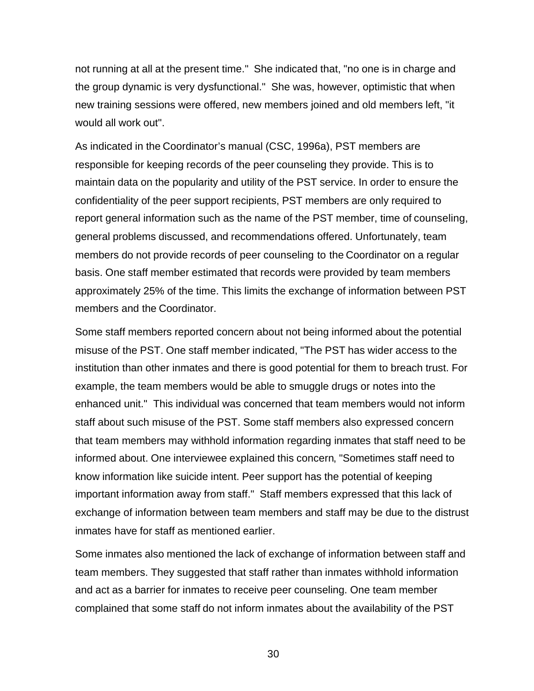not running at all at the present time." She indicated that, "no one is in charge and the group dynamic is very dysfunctional." She was, however, optimistic that when new training sessions were offered, new members joined and old members left, "it would all work out".

As indicated in the Coordinator's manual (CSC, 1996a), PST members are responsible for keeping records of the peer counseling they provide. This is to maintain data on the popularity and utility of the PST service. In order to ensure the confidentiality of the peer support recipients, PST members are only required to report general information such as the name of the PST member, time of counseling, general problems discussed, and recommendations offered. Unfortunately, team members do not provide records of peer counseling to the Coordinator on a regular basis. One staff member estimated that records were provided by team members approximately 25% of the time. This limits the exchange of information between PST members and the Coordinator.

Some staff members reported concern about not being informed about the potential misuse of the PST. One staff member indicated, "The PST has wider access to the institution than other inmates and there is good potential for them to breach trust. For example, the team members would be able to smuggle drugs or notes into the enhanced unit." This individual was concerned that team members would not inform staff about such misuse of the PST. Some staff members also expressed concern that team members may withhold information regarding inmates that staff need to be informed about. One interviewee explained this concern, "Sometimes staff need to know information like suicide intent. Peer support has the potential of keeping important information away from staff." Staff members expressed that this lack of exchange of information between team members and staff may be due to the distrust inmates have for staff as mentioned earlier.

Some inmates also mentioned the lack of exchange of information between staff and team members. They suggested that staff rather than inmates withhold information and act as a barrier for inmates to receive peer counseling. One team member complained that some staff do not inform inmates about the availability of the PST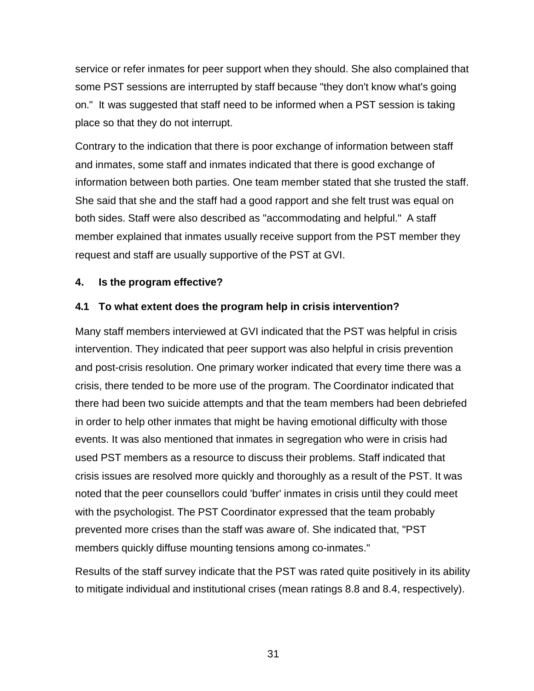service or refer inmates for peer support when they should. She also complained that some PST sessions are interrupted by staff because "they don't know what's going on." It was suggested that staff need to be informed when a PST session is taking place so that they do not interrupt.

Contrary to the indication that there is poor exchange of information between staff and inmates, some staff and inmates indicated that there is good exchange of information between both parties. One team member stated that she trusted the staff. She said that she and the staff had a good rapport and she felt trust was equal on both sides. Staff were also described as "accommodating and helpful." A staff member explained that inmates usually receive support from the PST member they request and staff are usually supportive of the PST at GVI.

# **4. Is the program effective?**

# **4.1 To what extent does the program help in crisis intervention?**

Many staff members interviewed at GVI indicated that the PST was helpful in crisis intervention. They indicated that peer support was also helpful in crisis prevention and post-crisis resolution. One primary worker indicated that every time there was a crisis, there tended to be more use of the program. The Coordinator indicated that there had been two suicide attempts and that the team members had been debriefed in order to help other inmates that might be having emotional difficulty with those events. It was also mentioned that inmates in segregation who were in crisis had used PST members as a resource to discuss their problems. Staff indicated that crisis issues are resolved more quickly and thoroughly as a result of the PST. It was noted that the peer counsellors could 'buffer' inmates in crisis until they could meet with the psychologist. The PST Coordinator expressed that the team probably prevented more crises than the staff was aware of. She indicated that, "PST members quickly diffuse mounting tensions among co-inmates."

Results of the staff survey indicate that the PST was rated quite positively in its ability to mitigate individual and institutional crises (mean ratings 8.8 and 8.4, respectively).

31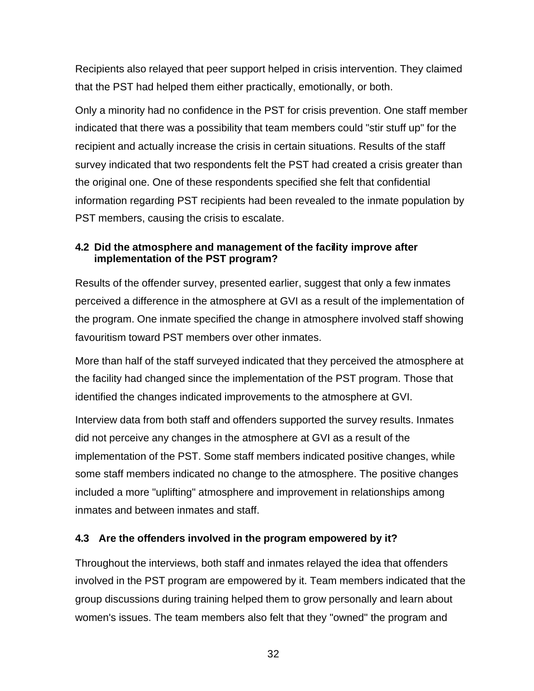Recipients also relayed that peer support helped in crisis intervention. They claimed that the PST had helped them either practically, emotionally, or both.

Only a minority had no confidence in the PST for crisis prevention. One staff member indicated that there was a possibility that team members could "stir stuff up" for the recipient and actually increase the crisis in certain situations. Results of the staff survey indicated that two respondents felt the PST had created a crisis greater than the original one. One of these respondents specified she felt that confidential information regarding PST recipients had been revealed to the inmate population by PST members, causing the crisis to escalate.

# **4.2 Did the atmosphere and management of the facility improve after implementation of the PST program?**

Results of the offender survey, presented earlier, suggest that only a few inmates perceived a difference in the atmosphere at GVI as a result of the implementation of the program. One inmate specified the change in atmosphere involved staff showing favouritism toward PST members over other inmates.

More than half of the staff surveyed indicated that they perceived the atmosphere at the facility had changed since the implementation of the PST program. Those that identified the changes indicated improvements to the atmosphere at GVI.

Interview data from both staff and offenders supported the survey results. Inmates did not perceive any changes in the atmosphere at GVI as a result of the implementation of the PST. Some staff members indicated positive changes, while some staff members indicated no change to the atmosphere. The positive changes included a more "uplifting" atmosphere and improvement in relationships among inmates and between inmates and staff.

# **4.3 Are the offenders involved in the program empowered by it?**

Throughout the interviews, both staff and inmates relayed the idea that offenders involved in the PST program are empowered by it. Team members indicated that the group discussions during training helped them to grow personally and learn about women's issues. The team members also felt that they "owned" the program and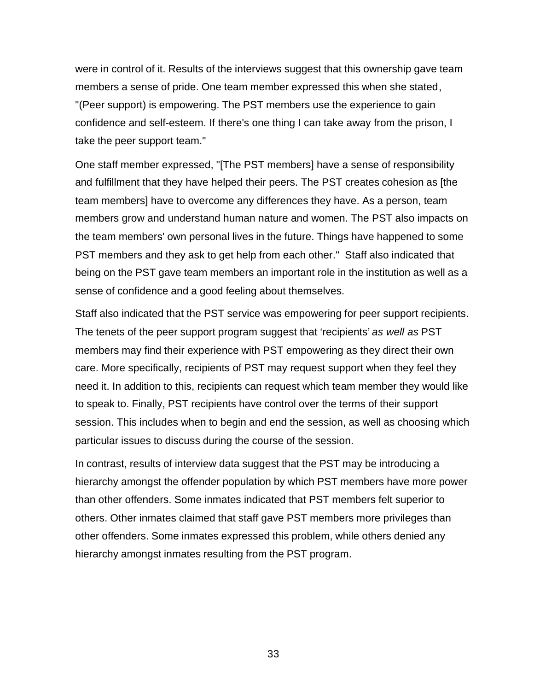were in control of it. Results of the interviews suggest that this ownership gave team members a sense of pride. One team member expressed this when she stated, "(Peer support) is empowering. The PST members use the experience to gain confidence and self-esteem. If there's one thing I can take away from the prison, I take the peer support team."

One staff member expressed, "[The PST members] have a sense of responsibility and fulfillment that they have helped their peers. The PST creates cohesion as [the team members] have to overcome any differences they have. As a person, team members grow and understand human nature and women. The PST also impacts on the team members' own personal lives in the future. Things have happened to some PST members and they ask to get help from each other." Staff also indicated that being on the PST gave team members an important role in the institution as well as a sense of confidence and a good feeling about themselves.

Staff also indicated that the PST service was empowering for peer support recipients. The tenets of the peer support program suggest that 'recipients' *as well as* PST members may find their experience with PST empowering as they direct their own care. More specifically, recipients of PST may request support when they feel they need it. In addition to this, recipients can request which team member they would like to speak to. Finally, PST recipients have control over the terms of their support session. This includes when to begin and end the session, as well as choosing which particular issues to discuss during the course of the session.

In contrast, results of interview data suggest that the PST may be introducing a hierarchy amongst the offender population by which PST members have more power than other offenders. Some inmates indicated that PST members felt superior to others. Other inmates claimed that staff gave PST members more privileges than other offenders. Some inmates expressed this problem, while others denied any hierarchy amongst inmates resulting from the PST program.

33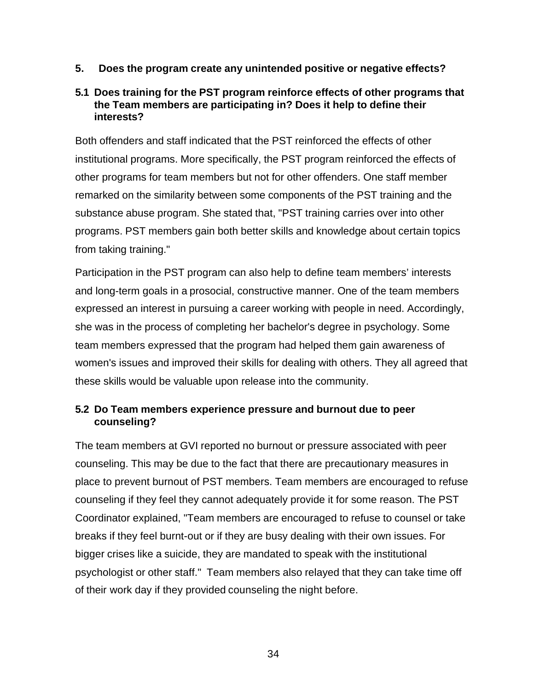**5. Does the program create any unintended positive or negative effects?**

# **5.1 Does training for the PST program reinforce effects of other programs that the Team members are participating in? Does it help to define their interests?**

Both offenders and staff indicated that the PST reinforced the effects of other institutional programs. More specifically, the PST program reinforced the effects of other programs for team members but not for other offenders. One staff member remarked on the similarity between some components of the PST training and the substance abuse program. She stated that, "PST training carries over into other programs. PST members gain both better skills and knowledge about certain topics from taking training."

Participation in the PST program can also help to define team members' interests and long-term goals in a prosocial, constructive manner. One of the team members expressed an interest in pursuing a career working with people in need. Accordingly, she was in the process of completing her bachelor's degree in psychology. Some team members expressed that the program had helped them gain awareness of women's issues and improved their skills for dealing with others. They all agreed that these skills would be valuable upon release into the community.

# **5.2 Do Team members experience pressure and burnout due to peer counseling?**

The team members at GVI reported no burnout or pressure associated with peer counseling. This may be due to the fact that there are precautionary measures in place to prevent burnout of PST members. Team members are encouraged to refuse counseling if they feel they cannot adequately provide it for some reason. The PST Coordinator explained, "Team members are encouraged to refuse to counsel or take breaks if they feel burnt-out or if they are busy dealing with their own issues. For bigger crises like a suicide, they are mandated to speak with the institutional psychologist or other staff." Team members also relayed that they can take time off of their work day if they provided counseling the night before.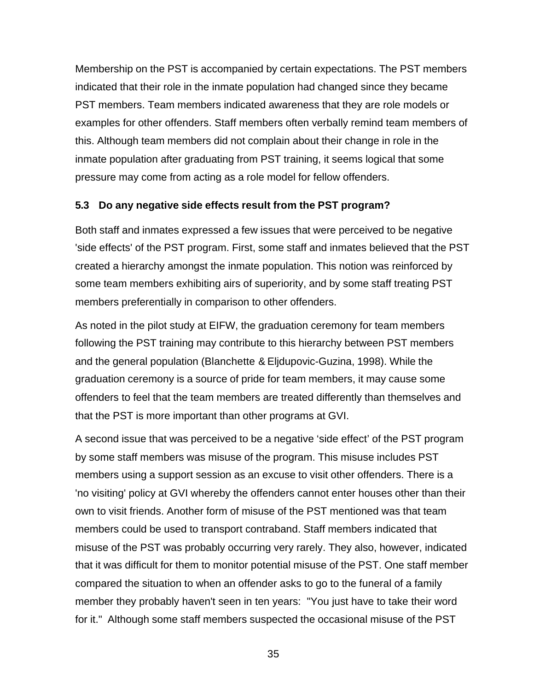Membership on the PST is accompanied by certain expectations. The PST members indicated that their role in the inmate population had changed since they became PST members. Team members indicated awareness that they are role models or examples for other offenders. Staff members often verbally remind team members of this. Although team members did not complain about their change in role in the inmate population after graduating from PST training, it seems logical that some pressure may come from acting as a role model for fellow offenders.

## **5.3 Do any negative side effects result from the PST program?**

Both staff and inmates expressed a few issues that were perceived to be negative 'side effects' of the PST program. First, some staff and inmates believed that the PST created a hierarchy amongst the inmate population. This notion was reinforced by some team members exhibiting airs of superiority, and by some staff treating PST members preferentially in comparison to other offenders.

As noted in the pilot study at EIFW, the graduation ceremony for team members following the PST training may contribute to this hierarchy between PST members and the general population (Blanchette & Eljdupovic-Guzina, 1998). While the graduation ceremony is a source of pride for team members, it may cause some offenders to feel that the team members are treated differently than themselves and that the PST is more important than other programs at GVI.

A second issue that was perceived to be a negative 'side effect' of the PST program by some staff members was misuse of the program. This misuse includes PST members using a support session as an excuse to visit other offenders. There is a 'no visiting' policy at GVI whereby the offenders cannot enter houses other than their own to visit friends. Another form of misuse of the PST mentioned was that team members could be used to transport contraband. Staff members indicated that misuse of the PST was probably occurring very rarely. They also, however, indicated that it was difficult for them to monitor potential misuse of the PST. One staff member compared the situation to when an offender asks to go to the funeral of a family member they probably haven't seen in ten years: "You just have to take their word for it." Although some staff members suspected the occasional misuse of the PST

35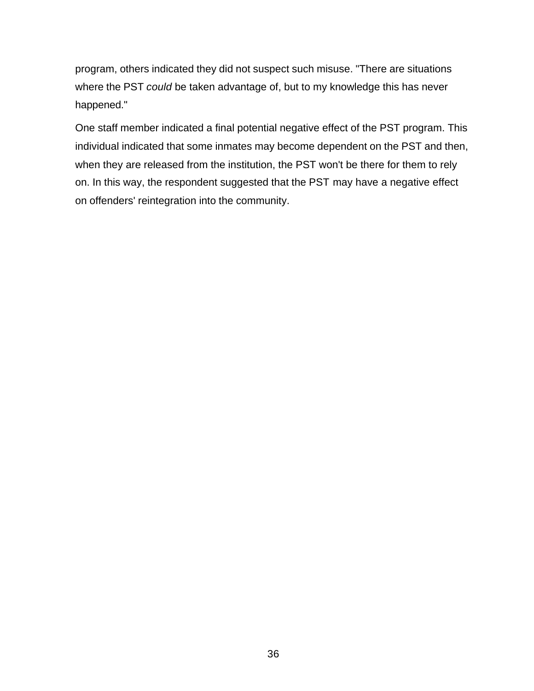program, others indicated they did not suspect such misuse. "There are situations where the PST *could* be taken advantage of, but to my knowledge this has never happened."

One staff member indicated a final potential negative effect of the PST program. This individual indicated that some inmates may become dependent on the PST and then, when they are released from the institution, the PST won't be there for them to rely on. In this way, the respondent suggested that the PST may have a negative effect on offenders' reintegration into the community.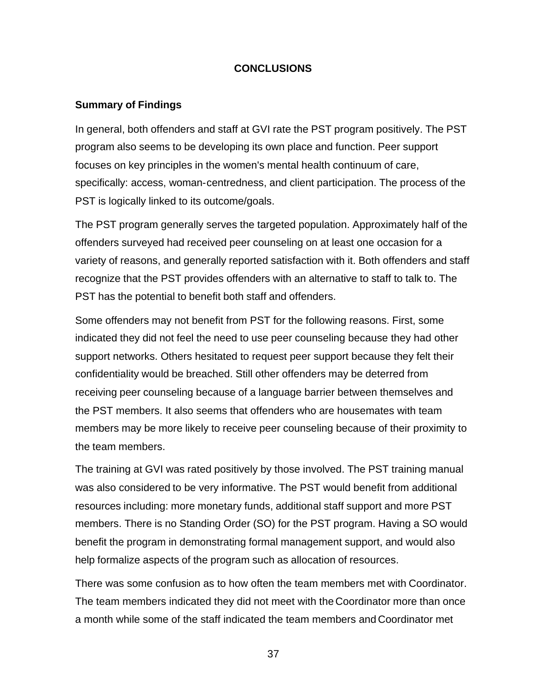## **CONCLUSIONS**

#### **Summary of Findings**

In general, both offenders and staff at GVI rate the PST program positively. The PST program also seems to be developing its own place and function. Peer support focuses on key principles in the women's mental health continuum of care, specifically: access, woman-centredness, and client participation. The process of the PST is logically linked to its outcome/goals.

The PST program generally serves the targeted population. Approximately half of the offenders surveyed had received peer counseling on at least one occasion for a variety of reasons, and generally reported satisfaction with it. Both offenders and staff recognize that the PST provides offenders with an alternative to staff to talk to. The PST has the potential to benefit both staff and offenders.

Some offenders may not benefit from PST for the following reasons. First, some indicated they did not feel the need to use peer counseling because they had other support networks. Others hesitated to request peer support because they felt their confidentiality would be breached. Still other offenders may be deterred from receiving peer counseling because of a language barrier between themselves and the PST members. It also seems that offenders who are housemates with team members may be more likely to receive peer counseling because of their proximity to the team members.

The training at GVI was rated positively by those involved. The PST training manual was also considered to be very informative. The PST would benefit from additional resources including: more monetary funds, additional staff support and more PST members. There is no Standing Order (SO) for the PST program. Having a SO would benefit the program in demonstrating formal management support, and would also help formalize aspects of the program such as allocation of resources.

There was some confusion as to how often the team members met with Coordinator. The team members indicated they did not meet with the Coordinator more than once a month while some of the staff indicated the team members and Coordinator met

37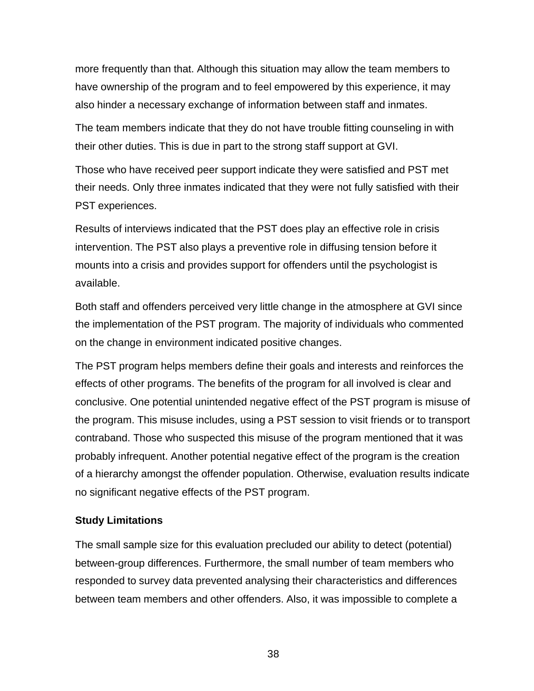more frequently than that. Although this situation may allow the team members to have ownership of the program and to feel empowered by this experience, it may also hinder a necessary exchange of information between staff and inmates.

The team members indicate that they do not have trouble fitting counseling in with their other duties. This is due in part to the strong staff support at GVI.

Those who have received peer support indicate they were satisfied and PST met their needs. Only three inmates indicated that they were not fully satisfied with their PST experiences.

Results of interviews indicated that the PST does play an effective role in crisis intervention. The PST also plays a preventive role in diffusing tension before it mounts into a crisis and provides support for offenders until the psychologist is available.

Both staff and offenders perceived very little change in the atmosphere at GVI since the implementation of the PST program. The majority of individuals who commented on the change in environment indicated positive changes.

The PST program helps members define their goals and interests and reinforces the effects of other programs. The benefits of the program for all involved is clear and conclusive. One potential unintended negative effect of the PST program is misuse of the program. This misuse includes, using a PST session to visit friends or to transport contraband. Those who suspected this misuse of the program mentioned that it was probably infrequent. Another potential negative effect of the program is the creation of a hierarchy amongst the offender population. Otherwise, evaluation results indicate no significant negative effects of the PST program.

#### **Study Limitations**

The small sample size for this evaluation precluded our ability to detect (potential) between-group differences. Furthermore, the small number of team members who responded to survey data prevented analysing their characteristics and differences between team members and other offenders. Also, it was impossible to complete a

38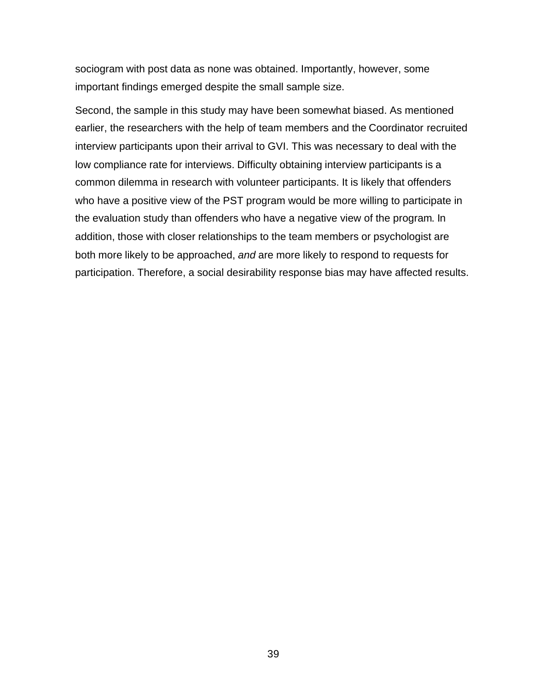sociogram with post data as none was obtained. Importantly, however, some important findings emerged despite the small sample size.

Second, the sample in this study may have been somewhat biased. As mentioned earlier, the researchers with the help of team members and the Coordinator recruited interview participants upon their arrival to GVI. This was necessary to deal with the low compliance rate for interviews. Difficulty obtaining interview participants is a common dilemma in research with volunteer participants. It is likely that offenders who have a positive view of the PST program would be more willing to participate in the evaluation study than offenders who have a negative view of the program. In addition, those with closer relationships to the team members or psychologist are both more likely to be approached, *and* are more likely to respond to requests for participation. Therefore, a social desirability response bias may have affected results.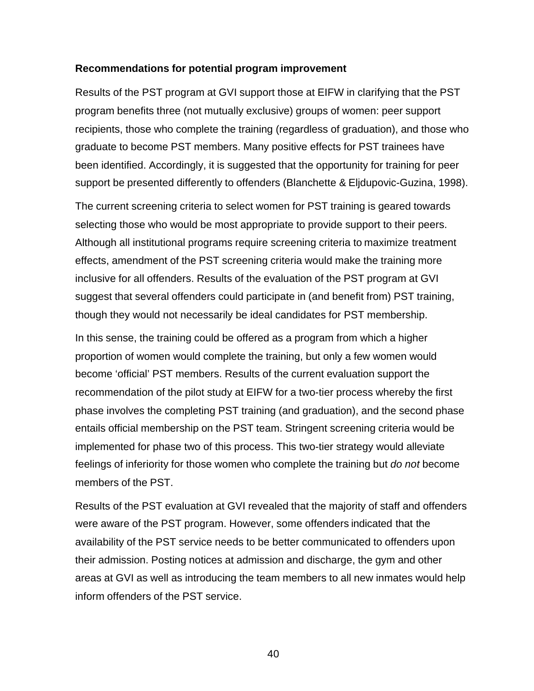#### **Recommendations for potential program improvement**

Results of the PST program at GVI support those at EIFW in clarifying that the PST program benefits three (not mutually exclusive) groups of women: peer support recipients, those who complete the training (regardless of graduation), and those who graduate to become PST members. Many positive effects for PST trainees have been identified. Accordingly, it is suggested that the opportunity for training for peer support be presented differently to offenders (Blanchette & Eljdupovic-Guzina, 1998).

The current screening criteria to select women for PST training is geared towards selecting those who would be most appropriate to provide support to their peers. Although all institutional programs require screening criteria to maximize treatment effects, amendment of the PST screening criteria would make the training more inclusive for all offenders. Results of the evaluation of the PST program at GVI suggest that several offenders could participate in (and benefit from) PST training, though they would not necessarily be ideal candidates for PST membership.

In this sense, the training could be offered as a program from which a higher proportion of women would complete the training, but only a few women would become 'official' PST members. Results of the current evaluation support the recommendation of the pilot study at EIFW for a two-tier process whereby the first phase involves the completing PST training (and graduation), and the second phase entails official membership on the PST team. Stringent screening criteria would be implemented for phase two of this process. This two-tier strategy would alleviate feelings of inferiority for those women who complete the training but *do not* become members of the PST.

Results of the PST evaluation at GVI revealed that the majority of staff and offenders were aware of the PST program. However, some offenders indicated that the availability of the PST service needs to be better communicated to offenders upon their admission. Posting notices at admission and discharge, the gym and other areas at GVI as well as introducing the team members to all new inmates would help inform offenders of the PST service.

40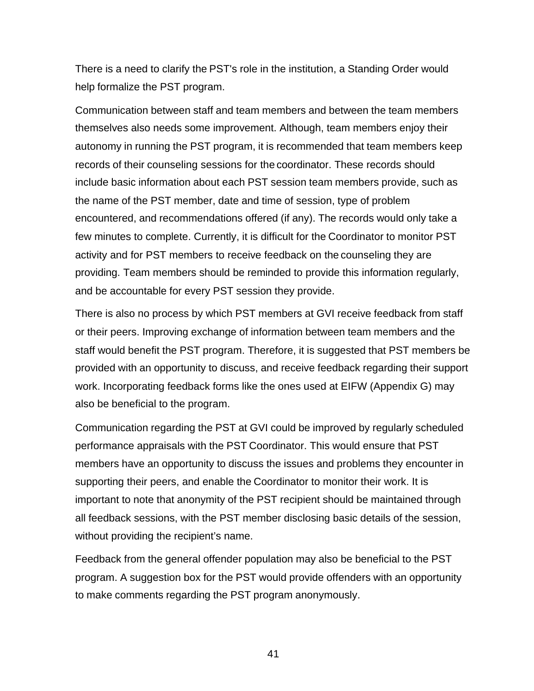There is a need to clarify the PST's role in the institution, a Standing Order would help formalize the PST program.

Communication between staff and team members and between the team members themselves also needs some improvement. Although, team members enjoy their autonomy in running the PST program, it is recommended that team members keep records of their counseling sessions for the coordinator. These records should include basic information about each PST session team members provide, such as the name of the PST member, date and time of session, type of problem encountered, and recommendations offered (if any). The records would only take a few minutes to complete. Currently, it is difficult for the Coordinator to monitor PST activity and for PST members to receive feedback on the counseling they are providing. Team members should be reminded to provide this information regularly, and be accountable for every PST session they provide.

There is also no process by which PST members at GVI receive feedback from staff or their peers. Improving exchange of information between team members and the staff would benefit the PST program. Therefore, it is suggested that PST members be provided with an opportunity to discuss, and receive feedback regarding their support work. Incorporating feedback forms like the ones used at EIFW (Appendix G) may also be beneficial to the program.

Communication regarding the PST at GVI could be improved by regularly scheduled performance appraisals with the PST Coordinator. This would ensure that PST members have an opportunity to discuss the issues and problems they encounter in supporting their peers, and enable the Coordinator to monitor their work. It is important to note that anonymity of the PST recipient should be maintained through all feedback sessions, with the PST member disclosing basic details of the session, without providing the recipient's name.

Feedback from the general offender population may also be beneficial to the PST program. A suggestion box for the PST would provide offenders with an opportunity to make comments regarding the PST program anonymously.

41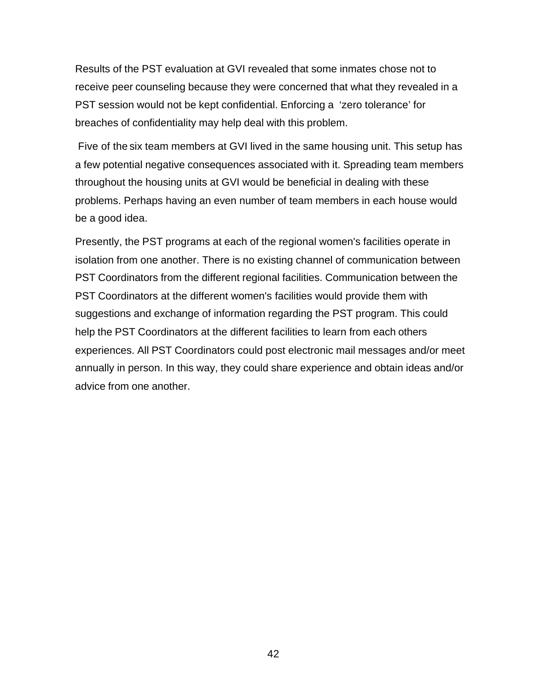Results of the PST evaluation at GVI revealed that some inmates chose not to receive peer counseling because they were concerned that what they revealed in a PST session would not be kept confidential. Enforcing a 'zero tolerance' for breaches of confidentiality may help deal with this problem.

 Five of the six team members at GVI lived in the same housing unit. This setup has a few potential negative consequences associated with it. Spreading team members throughout the housing units at GVI would be beneficial in dealing with these problems. Perhaps having an even number of team members in each house would be a good idea.

Presently, the PST programs at each of the regional women's facilities operate in isolation from one another. There is no existing channel of communication between PST Coordinators from the different regional facilities. Communication between the PST Coordinators at the different women's facilities would provide them with suggestions and exchange of information regarding the PST program. This could help the PST Coordinators at the different facilities to learn from each others experiences. All PST Coordinators could post electronic mail messages and/or meet annually in person. In this way, they could share experience and obtain ideas and/or advice from one another.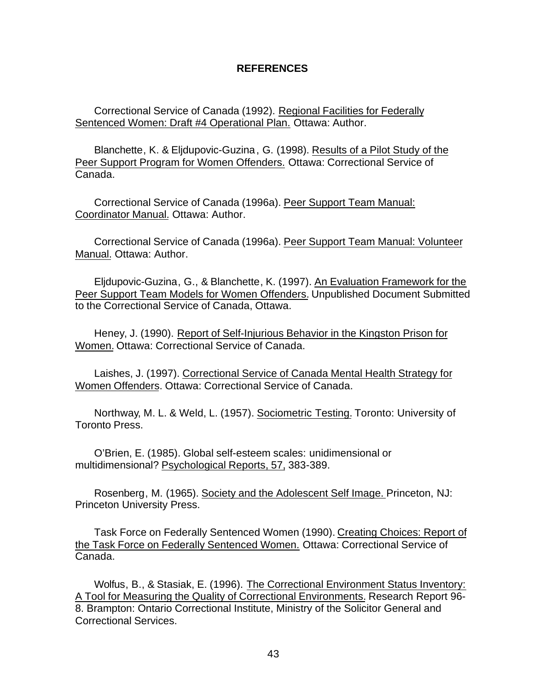#### **REFERENCES**

Correctional Service of Canada (1992). Regional Facilities for Federally Sentenced Women: Draft #4 Operational Plan. Ottawa: Author.

Blanchette, K. & Eljdupovic-Guzina, G. (1998). Results of a Pilot Study of the Peer Support Program for Women Offenders. Ottawa: Correctional Service of Canada.

Correctional Service of Canada (1996a). Peer Support Team Manual: Coordinator Manual. Ottawa: Author.

Correctional Service of Canada (1996a). Peer Support Team Manual: Volunteer Manual. Ottawa: Author.

Eljdupovic-Guzina, G., & Blanchette, K. (1997). An Evaluation Framework for the Peer Support Team Models for Women Offenders. Unpublished Document Submitted to the Correctional Service of Canada, Ottawa.

Heney, J. (1990). Report of Self-Injurious Behavior in the Kingston Prison for Women. Ottawa: Correctional Service of Canada.

Laishes, J. (1997). Correctional Service of Canada Mental Health Strategy for Women Offenders. Ottawa: Correctional Service of Canada.

Northway, M. L. & Weld, L. (1957). Sociometric Testing. Toronto: University of Toronto Press.

O'Brien, E. (1985). Global self-esteem scales: unidimensional or multidimensional? Psychological Reports, 57, 383-389.

Rosenberg, M. (1965). Society and the Adolescent Self Image. Princeton, NJ: Princeton University Press.

Task Force on Federally Sentenced Women (1990). Creating Choices: Report of the Task Force on Federally Sentenced Women. Ottawa: Correctional Service of Canada.

Wolfus, B., & Stasiak, E. (1996). The Correctional Environment Status Inventory: A Tool for Measuring the Quality of Correctional Environments. Research Report 96- 8. Brampton: Ontario Correctional Institute, Ministry of the Solicitor General and Correctional Services.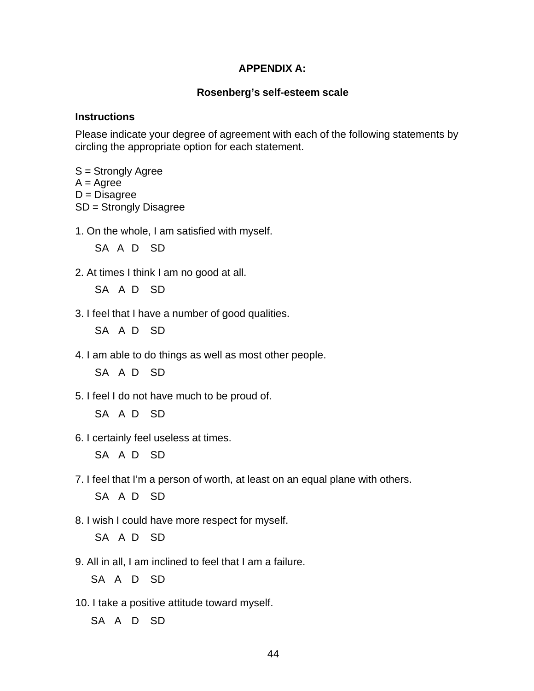## **APPENDIX A:**

## **Rosenberg's self-esteem scale**

#### **Instructions**

Please indicate your degree of agreement with each of the following statements by circling the appropriate option for each statement.

- S = Strongly Agree
- $A = \text{Agree}$

 $D = Disagree$ 

SD = Strongly Disagree

1. On the whole, I am satisfied with myself.

SA A D SD

2. At times I think I am no good at all.

SA A D SD

3. I feel that I have a number of good qualities.

SA A D SD

4. I am able to do things as well as most other people.

SA A D SD

5. I feel I do not have much to be proud of.

SA A D SD

6. I certainly feel useless at times.

SA A D SD

- 7. I feel that I'm a person of worth, at least on an equal plane with others. SA A D SD
- 8. I wish I could have more respect for myself.

SA A D SD

9. All in all, I am inclined to feel that I am a failure.

SA A D SD

10. I take a positive attitude toward myself.

SA A D SD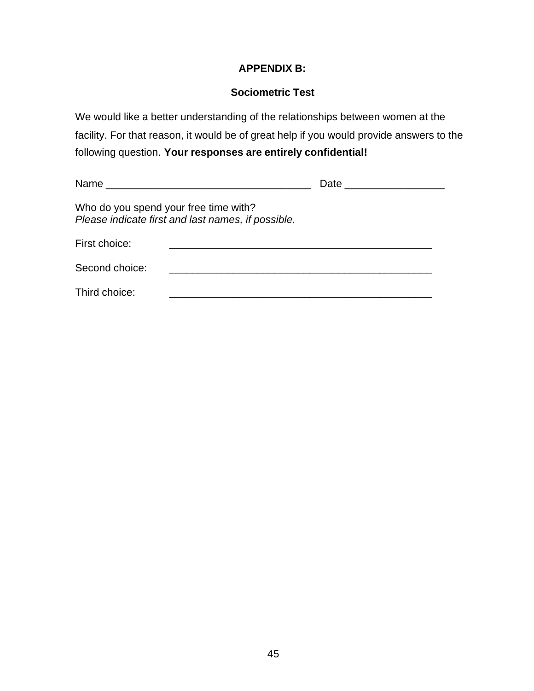# **APPENDIX B:**

# **Sociometric Test**

We would like a better understanding of the relationships between women at the facility. For that reason, it would be of great help if you would provide answers to the following question. **Your responses are entirely confidential!**

| Who do you spend your free time with? | Please indicate first and last names, if possible. |  |
|---------------------------------------|----------------------------------------------------|--|
| First choice:                         |                                                    |  |
| Second choice:                        |                                                    |  |
| Third choice:                         |                                                    |  |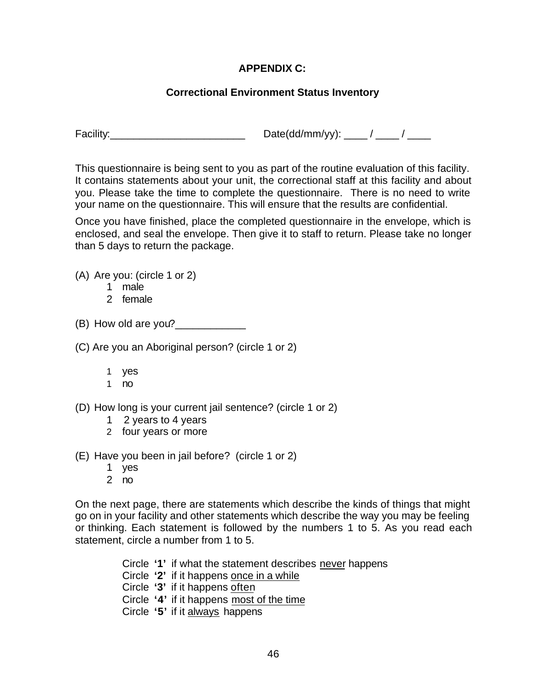# **APPENDIX C:**

# **Correctional Environment Status Inventory**

Facility:\_\_\_\_\_\_\_\_\_\_\_\_\_\_\_\_\_\_\_\_\_\_\_ Date(dd/mm/yy): \_\_\_\_ / \_\_\_\_ / \_\_\_\_

This questionnaire is being sent to you as part of the routine evaluation of this facility. It contains statements about your unit, the correctional staff at this facility and about you. Please take the time to complete the questionnaire. There is no need to write your name on the questionnaire. This will ensure that the results are confidential.

Once you have finished, place the completed questionnaire in the envelope, which is enclosed, and seal the envelope. Then give it to staff to return. Please take no longer than 5 days to return the package.

(A) Are you: (circle 1 or 2)

- 1 male
- 2 female

(B) How old are you?

- (C) Are you an Aboriginal person? (circle 1 or 2)
	- 1 yes
	- 1 no
- (D) How long is your current jail sentence? (circle 1 or 2)
	- 1 2 years to 4 years
	- 2 four years or more
- (E) Have you been in jail before? (circle 1 or 2)
	- 1 yes
	- 2 no

On the next page, there are statements which describe the kinds of things that might go on in your facility and other statements which describe the way you may be feeling or thinking. Each statement is followed by the numbers 1 to 5. As you read each statement, circle a number from 1 to 5.

- Circle **'1'** if what the statement describes never happens
- Circle **'2'** if it happens once in a while
- Circle **'3'** if it happens often
- Circle **'4'** if it happens most of the time
- Circle **'5'** if it always happens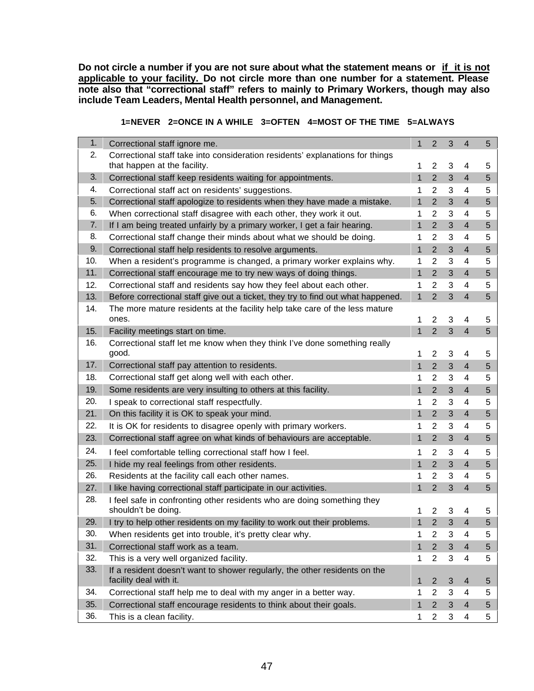**Do not circle a number if you are not sure about what the statement means or if it is not applicable to your facility. Do not circle more than one number for a statement. Please note also that "correctional staff" refers to mainly to Primary Workers, though may also include Team Leaders, Mental Health personnel, and Management.**

 **1=NEVER 2=ONCE IN A WHILE 3=OFTEN 4=MOST OF THE TIME 5=ALWAYS**

| 1.  | Correctional staff ignore me.                                                    | 1              | $\overline{2}$ | 3              | $\overline{4}$           | 5 |
|-----|----------------------------------------------------------------------------------|----------------|----------------|----------------|--------------------------|---|
| 2.  | Correctional staff take into consideration residents' explanations for things    |                |                |                |                          |   |
|     | that happen at the facility.                                                     | 1              | 2              | 3              | 4                        | 5 |
| 3.  | Correctional staff keep residents waiting for appointments.                      | $\mathbf{1}$   | $\overline{2}$ | 3              | $\overline{4}$           | 5 |
| 4.  | Correctional staff act on residents' suggestions.                                | 1              | 2              | 3              | 4                        | 5 |
| 5.  | Correctional staff apologize to residents when they have made a mistake.         | $\mathbf{1}$   | $\overline{2}$ | 3              | $\overline{4}$           | 5 |
| 6.  | When correctional staff disagree with each other, they work it out.              | 1              | $\overline{2}$ | 3              | 4                        | 5 |
| 7.  | If I am being treated unfairly by a primary worker, I get a fair hearing.        | 1              | $\overline{2}$ | 3              | $\overline{4}$           | 5 |
| 8.  | Correctional staff change their minds about what we should be doing.             | 1              | $\overline{2}$ | 3              | 4                        | 5 |
| 9.  | Correctional staff help residents to resolve arguments.                          | $\mathbf{1}$   | $\overline{2}$ | $\mathfrak{B}$ | $\overline{4}$           | 5 |
| 10. | When a resident's programme is changed, a primary worker explains why.           | 1              | $\overline{2}$ | 3              | 4                        | 5 |
| 11. | Correctional staff encourage me to try new ways of doing things.                 | $\mathbf{1}$   | $\overline{2}$ | 3              | $\overline{4}$           | 5 |
| 12. | Correctional staff and residents say how they feel about each other.             | 1              | $\overline{2}$ | 3              | 4                        | 5 |
| 13. | Before correctional staff give out a ticket, they try to find out what happened. | $\mathbf{1}$   | $\overline{2}$ | 3              | 4                        | 5 |
| 14. | The more mature residents at the facility help take care of the less mature      |                |                |                |                          |   |
|     | ones.                                                                            | 1              | $\overline{2}$ | 3              | 4                        | 5 |
| 15. | Facility meetings start on time.                                                 | 1              | $\overline{2}$ | 3              | $\overline{4}$           | 5 |
| 16. | Correctional staff let me know when they think I've done something really        |                |                |                |                          |   |
|     | good.                                                                            | 1              | 2              | 3              | 4                        | 5 |
| 17. | Correctional staff pay attention to residents.                                   | $\overline{1}$ | $\overline{2}$ | 3              | $\overline{4}$           | 5 |
| 18. | Correctional staff get along well with each other.                               | 1              | 2              | 3              | $\overline{4}$           | 5 |
| 19. | Some residents are very insulting to others at this facility.                    | $\mathbf{1}$   | $\overline{2}$ | 3              | $\overline{4}$           | 5 |
| 20. | I speak to correctional staff respectfully.                                      | 1              | $\overline{2}$ | 3              | 4                        | 5 |
| 21. | On this facility it is OK to speak your mind.                                    | 1              | $\overline{2}$ | 3              | $\overline{4}$           | 5 |
| 22. | It is OK for residents to disagree openly with primary workers.                  | 1              | 2              | 3              | 4                        | 5 |
| 23. | Correctional staff agree on what kinds of behaviours are acceptable.             | 1              | $\overline{2}$ | 3              | $\overline{\mathcal{A}}$ | 5 |
| 24. | I feel comfortable telling correctional staff how I feel.                        | 1              | 2              | 3              | 4                        | 5 |
| 25. | I hide my real feelings from other residents.                                    | $\mathbf{1}$   | $\overline{2}$ | $\mathfrak{B}$ | $\overline{4}$           | 5 |
| 26. | Residents at the facility call each other names.                                 | 1              | 2              | 3              | 4                        | 5 |
| 27. | I like having correctional staff participate in our activities.                  | 1              | 2              | 3              | $\overline{4}$           | 5 |
| 28. | I feel safe in confronting other residents who are doing something they          |                |                |                |                          |   |
|     | shouldn't be doing.                                                              |                | 2              | 3              | 4                        | 5 |
| 29. | I try to help other residents on my facility to work out their problems.         | 1              | $\overline{2}$ | 3              | 4                        | 5 |
| 30. | When residents get into trouble, it's pretty clear why.                          | 1              | $\overline{2}$ | 3              | 4                        | 5 |
| 31. | Correctional staff work as a team.                                               | 1              | $\overline{2}$ | 3              | 4                        | 5 |
| 32. | This is a very well organized facility.                                          | 1              | $\overline{2}$ | 3              | 4                        | 5 |
| 33. | If a resident doesn't want to shower regularly, the other residents on the       |                |                |                |                          |   |
|     | facility deal with it.                                                           | 1              | $\overline{2}$ | 3              | $\overline{4}$           | 5 |
| 34. | Correctional staff help me to deal with my anger in a better way.                |                | 2              | 3              | 4                        | 5 |
| 35. | Correctional staff encourage residents to think about their goals.               | $\mathbf 1$    | $\overline{2}$ | 3              | $\overline{4}$           | 5 |
| 36. | This is a clean facility.                                                        | 1              | $\overline{2}$ | 3              | 4                        | 5 |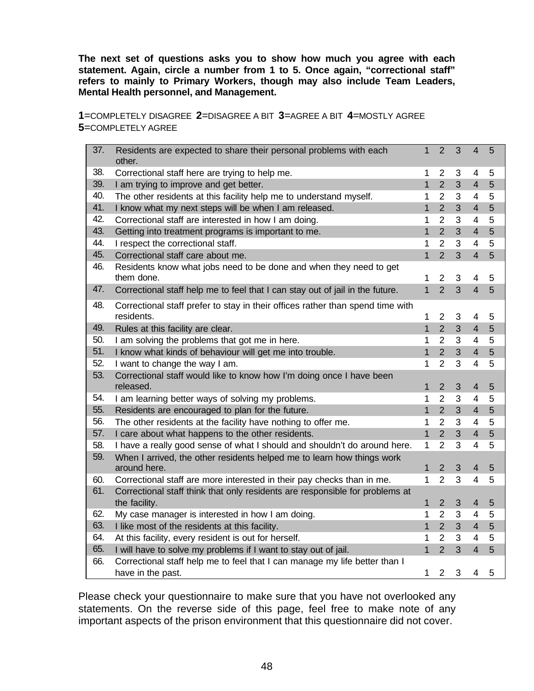**The next set of questions asks you to show how much you agree with each statement. Again, circle a number from 1 to 5. Once again, "correctional staff" refers to mainly to Primary Workers, though may also include Team Leaders, Mental Health personnel, and Management.**

**1**=COMPLETELY DISAGREE **2**=DISAGREE A BIT **3**=AGREE A BIT **4**=MOSTLY AGREE **5**=COMPLETELY AGREE

| 37. | Residents are expected to share their personal problems with each<br>other.                     | $\mathbf{1}$   | $\overline{2}$                   | 3              | $\overline{4}$           | 5 |
|-----|-------------------------------------------------------------------------------------------------|----------------|----------------------------------|----------------|--------------------------|---|
| 38. | Correctional staff here are trying to help me.                                                  | 1              | $\overline{2}$                   | 3              | 4                        | 5 |
| 39. | I am trying to improve and get better.                                                          | $\mathbf{1}$   | $\overline{2}$                   | $\overline{3}$ | $\overline{4}$           | 5 |
| 40. | The other residents at this facility help me to understand myself.                              | 1              | $\overline{2}$                   | 3              | $\overline{\mathcal{A}}$ | 5 |
| 41. | I know what my next steps will be when I am released.                                           | 1              | $\overline{2}$                   | 3              | $\overline{4}$           | 5 |
| 42. | Correctional staff are interested in how I am doing.                                            | 1              | $\overline{2}$                   | 3              | $\overline{4}$           | 5 |
| 43. | Getting into treatment programs is important to me.                                             | 1              | 2 <sup>1</sup>                   | 3              | 4                        | 5 |
| 44. | I respect the correctional staff.                                                               | 1              | $\overline{2}$                   | 3              | $\overline{4}$           | 5 |
| 45. | Correctional staff care about me.                                                               | $\mathbf 1$    | $\overline{2}$                   | 3              | $\overline{4}$           | 5 |
| 46. | Residents know what jobs need to be done and when they need to get<br>them done.                | 1              | $\overline{2}$                   | 3              | 4                        | 5 |
| 47. | Correctional staff help me to feel that I can stay out of jail in the future.                   | $\mathbf{1}$   | $\overline{2}$                   | $\overline{3}$ | $\overline{4}$           | 5 |
| 48. | Correctional staff prefer to stay in their offices rather than spend time with<br>residents.    | 1              | $\overline{2}$                   | 3              | 4                        | 5 |
| 49. | Rules at this facility are clear.                                                               | $\mathbf{1}$   | $\overline{2}$                   | 3              | $\overline{4}$           | 5 |
| 50. | I am solving the problems that got me in here.                                                  | 1              | $\overline{2}$                   | 3              | $\overline{4}$           | 5 |
| 51. | I know what kinds of behaviour will get me into trouble.                                        | 1              | $\overline{2}$                   | 3              | $\overline{4}$           | 5 |
| 52. | I want to change the way I am.                                                                  | 1              | $\overline{2}$                   | 3              | $\overline{4}$           | 5 |
| 53. | Correctional staff would like to know how I'm doing once I have been<br>released.               | 1              | $\overline{2}$                   | 3              | $\overline{4}$           | 5 |
| 54. | I am learning better ways of solving my problems.                                               | 1              | $\overline{2}$                   | 3              | $\overline{4}$           | 5 |
| 55. | Residents are encouraged to plan for the future.                                                | $\overline{1}$ | $\overline{2}$                   | 3              | $\overline{4}$           | 5 |
| 56. | The other residents at the facility have nothing to offer me.                                   | 1              | $\overline{2}$                   | 3              | $\overline{4}$           | 5 |
| 57. | I care about what happens to the other residents.                                               | $\mathbf{1}$   | $\overline{2}$                   | 3              | $\overline{4}$           | 5 |
| 58. | I have a really good sense of what I should and shouldn't do around here.                       | 1              | $\overline{2}$                   | 3              | $\overline{4}$           | 5 |
| 59. | When I arrived, the other residents helped me to learn how things work                          |                |                                  |                |                          |   |
|     | around here.                                                                                    | $\mathbf 1$    | $\overline{2}$<br>$\overline{2}$ | 3<br>3         | $\overline{4}$           | 5 |
| 60. | Correctional staff are more interested in their pay checks than in me.                          | 1              |                                  |                | $\overline{4}$           | 5 |
| 61. | Correctional staff think that only residents are responsible for problems at<br>the facility.   | 1              | $\overline{2}$                   | 3              | $\overline{4}$           | 5 |
| 62. | My case manager is interested in how I am doing.                                                | 1              | $\overline{2}$                   | 3              | $\overline{4}$           | 5 |
| 63. | I like most of the residents at this facility.                                                  | $\mathbf{1}$   | $\overline{2}$                   | 3              | $\overline{4}$           | 5 |
| 64. | At this facility, every resident is out for herself.                                            | 1              | $\overline{2}$                   | 3              | $\overline{4}$           | 5 |
| 65. | I will have to solve my problems if I want to stay out of jail.                                 | $\mathbf{1}$   | $\overline{2}$                   | 3              | $\overline{4}$           | 5 |
| 66. | Correctional staff help me to feel that I can manage my life better than I<br>have in the past. | 1              | $\overline{2}$                   | 3              | 4                        | 5 |

Please check your questionnaire to make sure that you have not overlooked any statements. On the reverse side of this page, feel free to make note of any important aspects of the prison environment that this questionnaire did not cover.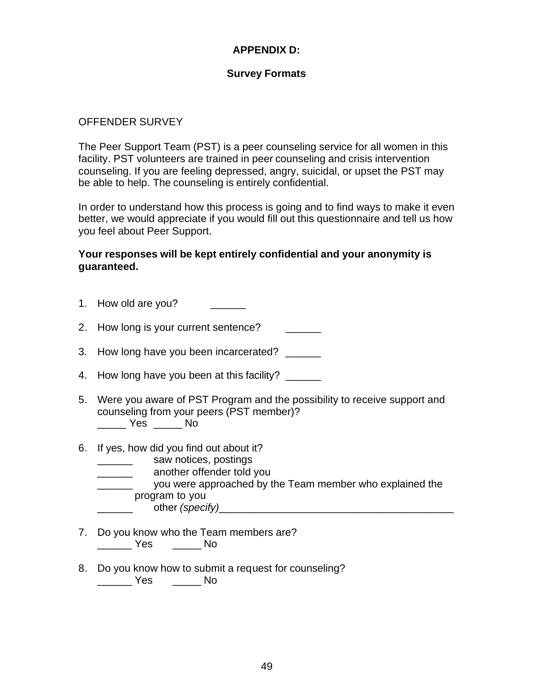# **APPENDIX D:**

#### **Survey Formats**

#### OFFENDER SURVEY

The Peer Support Team (PST) is a peer counseling service for all women in this facility. PST volunteers are trained in peer counseling and crisis intervention counseling. If you are feeling depressed, angry, suicidal, or upset the PST may be able to help. The counseling is entirely confidential.

In order to understand how this process is going and to find ways to make it even better, we would appreciate if you would fill out this questionnaire and tell us how you feel about Peer Support.

## **Your responses will be kept entirely confidential and your anonymity is guaranteed.**

- 1. How old are you? 2. How long is your current sentence? 3. How long have you been incarcerated? 4. How long have you been at this facility? 5. Were you aware of PST Program and the possibility to receive support and counseling from your peers (PST member)? \_\_\_\_\_ Yes \_\_\_\_\_ No 6. If yes, how did you find out about it?
- - \_\_\_\_\_\_ saw notices, postings
	- \_\_\_\_\_\_ another offender told you
	- \_\_\_\_\_\_ you were approached by the Team member who explained the program to you \_\_\_\_\_\_ other *(specify)*\_\_\_\_\_\_\_\_\_\_\_\_\_\_\_\_\_\_\_\_\_\_\_\_\_\_\_\_\_\_\_\_\_\_\_\_\_\_\_\_
		-
- 7. Do you know who the Team members are? \_\_\_\_\_\_ Yes \_\_\_\_\_ No
- 8. Do you know how to submit a request for counseling? \_\_\_\_\_\_ Yes \_\_\_\_\_ No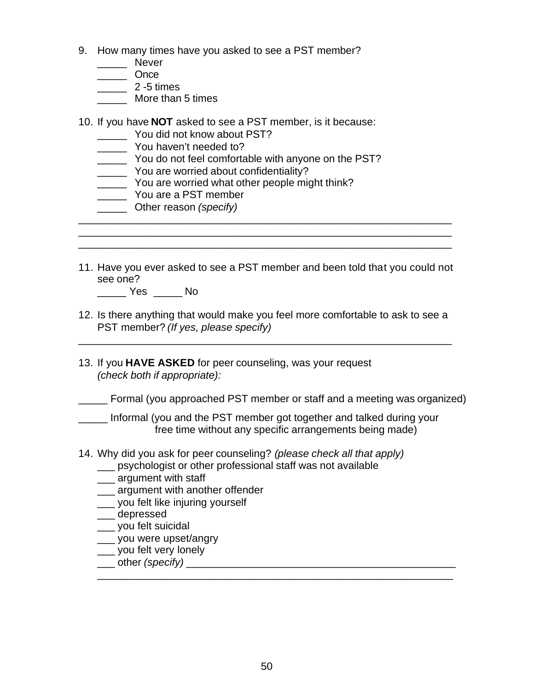- 9. How many times have you asked to see a PST member?
	- \_\_\_\_\_\_ Never
	- \_\_\_\_\_ Once
	- \_\_\_\_\_ 2 -5 times
	- \_\_\_\_\_ More than 5 times
- 10. If you have **NOT** asked to see a PST member, is it because:
	- \_\_\_\_\_ You did not know about PST?
	- \_\_\_\_\_ You haven't needed to?
	- \_\_\_\_\_ You do not feel comfortable with anyone on the PST?
	- \_\_\_\_\_ You are worried about confidentiality?
	- \_\_\_\_\_ You are worried what other people might think?
	- \_\_\_\_\_ You are a PST member
	- \_\_\_\_\_ Other reason *(specify)*
- 11. Have you ever asked to see a PST member and been told that you could not see one?

\_\_\_\_\_\_\_\_\_\_\_\_\_\_\_\_\_\_\_\_\_\_\_\_\_\_\_\_\_\_\_\_\_\_\_\_\_\_\_\_\_\_\_\_\_\_\_\_\_\_\_\_\_\_\_\_\_\_\_\_\_\_\_\_ \_\_\_\_\_\_\_\_\_\_\_\_\_\_\_\_\_\_\_\_\_\_\_\_\_\_\_\_\_\_\_\_\_\_\_\_\_\_\_\_\_\_\_\_\_\_\_\_\_\_\_\_\_\_\_\_\_\_\_\_\_\_\_\_

\_\_\_\_\_ Yes \_\_\_\_\_ No

12. Is there anything that would make you feel more comfortable to ask to see a PST member? *(If yes, please specify)*

\_\_\_\_\_\_\_\_\_\_\_\_\_\_\_\_\_\_\_\_\_\_\_\_\_\_\_\_\_\_\_\_\_\_\_\_\_\_\_\_\_\_\_\_\_\_\_\_\_\_\_\_\_\_\_\_\_\_\_\_\_\_\_\_

13. If you **HAVE ASKED** for peer counseling, was your request *(check both if appropriate):*

Formal (you approached PST member or staff and a meeting was organized)

Informal (you and the PST member got together and talked during your free time without any specific arrangements being made)

- 14. Why did you ask for peer counseling? *(please check all that apply)*
	- psychologist or other professional staff was not available
	- **\_\_\_** argument with staff
	- **\_\_\_ argument with another offender**
	- \_\_\_ you felt like injuring yourself
	- \_\_\_ depressed
	- \_\_\_ you felt suicidal
	- \_\_\_ you were upset/angrv
	- \_\_\_ you felt very lonely
	- \_\_\_ other *(specify)* \_\_\_\_\_\_\_\_\_\_\_\_\_\_\_\_\_\_\_\_\_\_\_\_\_\_\_\_\_\_\_\_\_\_\_\_\_\_\_\_\_\_\_\_\_\_ \_\_\_\_\_\_\_\_\_\_\_\_\_\_\_\_\_\_\_\_\_\_\_\_\_\_\_\_\_\_\_\_\_\_\_\_\_\_\_\_\_\_\_\_\_\_\_\_\_\_\_\_\_\_\_\_\_\_\_\_\_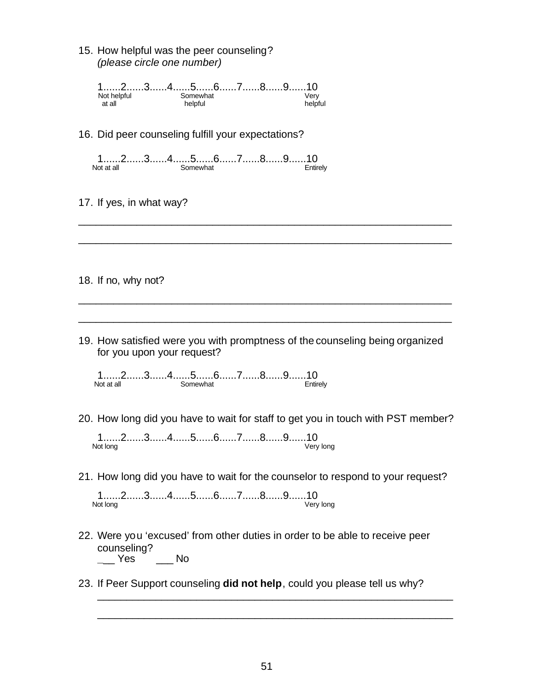15. How helpful was the peer counseling? *(please circle one number)*

| 12345678910 |  |          |  |  |         |
|-------------|--|----------|--|--|---------|
| Not helpful |  | Somewhat |  |  | √erv    |
| at all      |  | helpful  |  |  | helpful |

16. Did peer counseling fulfill your expectations?

1......2......3......4......5.......6......7.......8.......9......10<br>Not at all Somewhat Somewhat

- 17. If yes, in what way?
- 18. If no, why not?
- 19. How satisfied were you with promptness of the counseling being organized for you upon your request?

\_\_\_\_\_\_\_\_\_\_\_\_\_\_\_\_\_\_\_\_\_\_\_\_\_\_\_\_\_\_\_\_\_\_\_\_\_\_\_\_\_\_\_\_\_\_\_\_\_\_\_\_\_\_\_\_\_\_\_\_\_\_\_\_

\_\_\_\_\_\_\_\_\_\_\_\_\_\_\_\_\_\_\_\_\_\_\_\_\_\_\_\_\_\_\_\_\_\_\_\_\_\_\_\_\_\_\_\_\_\_\_\_\_\_\_\_\_\_\_\_\_\_\_\_\_\_\_\_

\_\_\_\_\_\_\_\_\_\_\_\_\_\_\_\_\_\_\_\_\_\_\_\_\_\_\_\_\_\_\_\_\_\_\_\_\_\_\_\_\_\_\_\_\_\_\_\_\_\_\_\_\_\_\_\_\_\_\_\_\_\_\_\_

\_\_\_\_\_\_\_\_\_\_\_\_\_\_\_\_\_\_\_\_\_\_\_\_\_\_\_\_\_\_\_\_\_\_\_\_\_\_\_\_\_\_\_\_\_\_\_\_\_\_\_\_\_\_\_\_\_\_\_\_\_\_\_\_

1......2.......3......4......5.......6......7.......8.......9.......10<br>Not at all Somewhat Somewhat

20. How long did you have to wait for staff to get you in touch with PST member?

1......2......3......4......5......6......7......8......9......10<br>Not long Very long

21. How long did you have to wait for the counselor to respond to your request?

1......2......3......4......5......6......7......8......9......10<br>Not long Very long

- 22. Were you 'excused' from other duties in order to be able to receive peer counseling? **\_**\_\_ Yes \_\_\_ No
- 23. If Peer Support counseling **did not help**, could you please tell us why?

\_\_\_\_\_\_\_\_\_\_\_\_\_\_\_\_\_\_\_\_\_\_\_\_\_\_\_\_\_\_\_\_\_\_\_\_\_\_\_\_\_\_\_\_\_\_\_\_\_\_\_\_\_\_\_\_\_\_\_\_\_

\_\_\_\_\_\_\_\_\_\_\_\_\_\_\_\_\_\_\_\_\_\_\_\_\_\_\_\_\_\_\_\_\_\_\_\_\_\_\_\_\_\_\_\_\_\_\_\_\_\_\_\_\_\_\_\_\_\_\_\_\_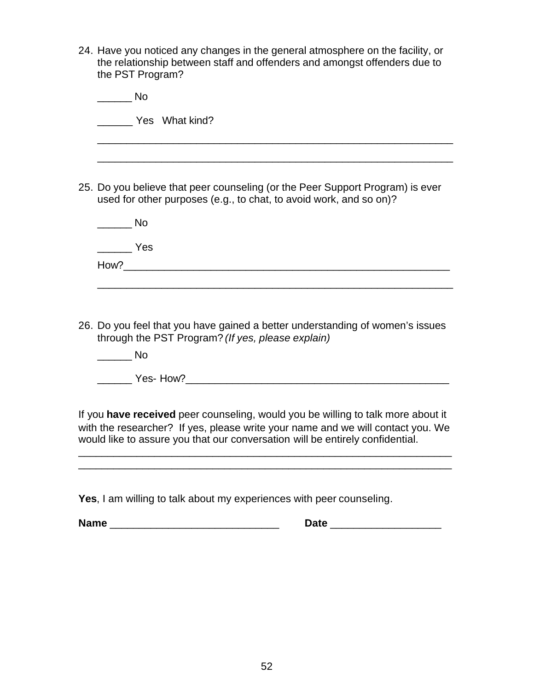24. Have you noticed any changes in the general atmosphere on the facility, or the relationship between staff and offenders and amongst offenders due to the PST Program?

| N٥                                                                                                                                                  |
|-----------------------------------------------------------------------------------------------------------------------------------------------------|
| Yes What kind?                                                                                                                                      |
|                                                                                                                                                     |
|                                                                                                                                                     |
| 25. Do you believe that peer counseling (or the Peer Support Program) is ever<br>used for other purposes (e.g., to chat, to avoid work, and so on)? |
| <b>No</b>                                                                                                                                           |
| Yes                                                                                                                                                 |
| How?                                                                                                                                                |
|                                                                                                                                                     |
|                                                                                                                                                     |

26. Do you feel that you have gained a better understanding of women's issues through the PST Program? *(If yes, please explain)*

\_\_\_\_\_\_ No

\_\_\_\_\_\_ Yes- How?\_\_\_\_\_\_\_\_\_\_\_\_\_\_\_\_\_\_\_\_\_\_\_\_\_\_\_\_\_\_\_\_\_\_\_\_\_\_\_\_\_\_\_\_\_

If you **have received** peer counseling, would you be willing to talk more about it with the researcher? If yes, please write your name and we will contact you. We would like to assure you that our conversation will be entirely confidential.

\_\_\_\_\_\_\_\_\_\_\_\_\_\_\_\_\_\_\_\_\_\_\_\_\_\_\_\_\_\_\_\_\_\_\_\_\_\_\_\_\_\_\_\_\_\_\_\_\_\_\_\_\_\_\_\_\_\_\_\_\_\_\_\_ \_\_\_\_\_\_\_\_\_\_\_\_\_\_\_\_\_\_\_\_\_\_\_\_\_\_\_\_\_\_\_\_\_\_\_\_\_\_\_\_\_\_\_\_\_\_\_\_\_\_\_\_\_\_\_\_\_\_\_\_\_\_\_\_

**Yes**, I am willing to talk about my experiences with peer counseling.

**Name** \_\_\_\_\_\_\_\_\_\_\_\_\_\_\_\_\_\_\_\_\_\_\_\_\_\_\_\_\_ **Date** \_\_\_\_\_\_\_\_\_\_\_\_\_\_\_\_\_\_\_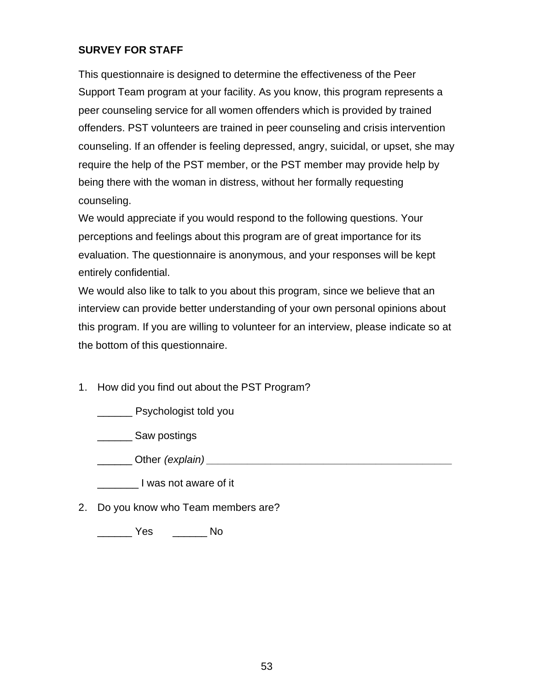# **SURVEY FOR STAFF**

This questionnaire is designed to determine the effectiveness of the Peer Support Team program at your facility. As you know, this program represents a peer counseling service for all women offenders which is provided by trained offenders. PST volunteers are trained in peer counseling and crisis intervention counseling. If an offender is feeling depressed, angry, suicidal, or upset, she may require the help of the PST member, or the PST member may provide help by being there with the woman in distress, without her formally requesting counseling.

We would appreciate if you would respond to the following questions. Your perceptions and feelings about this program are of great importance for its evaluation. The questionnaire is anonymous, and your responses will be kept entirely confidential.

We would also like to talk to you about this program, since we believe that an interview can provide better understanding of your own personal opinions about this program. If you are willing to volunteer for an interview, please indicate so at the bottom of this questionnaire.

1. How did you find out about the PST Program?

\_\_\_\_\_\_ Psychologist told you

\_\_\_\_\_\_ Saw postings

\_\_\_\_\_\_ Other *(explain) \_\_\_\_\_\_\_\_\_\_\_\_\_\_\_\_\_\_\_\_\_\_\_\_\_\_\_\_\_\_\_\_\_\_\_\_\_\_\_\_\_\_*

\_\_\_\_\_\_\_ I was not aware of it

2. Do you know who Team members are?

\_\_\_\_\_\_ Yes \_\_\_\_\_\_ No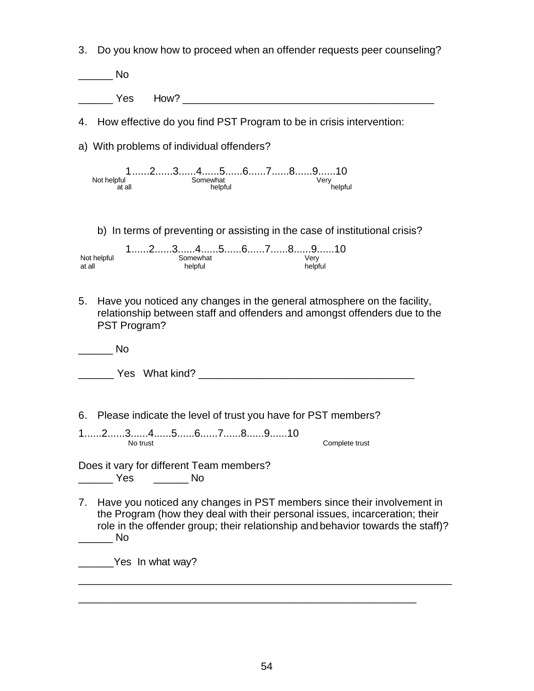3. Do you know how to proceed when an offender requests peer counseling?

| <b>No</b>                                                                                                                                                                                                                              |
|----------------------------------------------------------------------------------------------------------------------------------------------------------------------------------------------------------------------------------------|
| How? The contract of the contract of the contract of the contract of the contract of the contract of the contract of the contract of the contract of the contract of the contract of the contract of the contract of the contr<br>Yes. |
| 4. How effective do you find PST Program to be in crisis intervention:                                                                                                                                                                 |
| a) With problems of individual offenders?                                                                                                                                                                                              |
| $1$ 2345678910<br>Somewhat<br>Not helpful<br>Very<br>helpful<br>helpful<br>at all                                                                                                                                                      |
| b) In terms of preventing or assisting in the case of institutional crisis?<br>$1$ 2345678910<br>Not helpful<br>Somewhat<br>Very<br>at all<br>helpful<br>helpful                                                                       |
| 5.<br>Have you noticed any changes in the general atmosphere on the facility,<br>relationship between staff and offenders and amongst offenders due to the<br>PST Program?                                                             |
| No                                                                                                                                                                                                                                     |
| <b>The State What kind?</b> The State of the State of the State of the State of the State of the State of the State of the State of the State of the State of the State of the State of the State of the State of the State of the     |

6. Please indicate the level of trust you have for PST members?

1......2......3......4.......5......6......7......8......9......10<br>No trust

Complete trust

Does it vary for different Team members? \_\_\_\_\_\_ Yes \_\_\_\_\_\_ No

7. Have you noticed any changes in PST members since their involvement in the Program (how they deal with their personal issues, incarceration; their role in the offender group; their relationship and behavior towards the staff)?  $\blacksquare$ 

\_\_\_\_\_\_\_\_\_\_\_\_\_\_\_\_\_\_\_\_\_\_\_\_\_\_\_\_\_\_\_\_\_\_\_\_\_\_\_\_\_\_\_\_\_\_\_\_\_\_\_\_\_\_\_\_\_\_\_\_\_\_\_\_

\_\_\_\_\_\_\_\_\_\_\_\_\_\_\_\_\_\_\_\_\_\_\_\_\_\_\_\_\_\_\_\_\_\_\_\_\_\_\_\_\_\_\_\_\_\_\_\_\_\_\_\_\_\_\_\_\_\_

**Wes In what way?**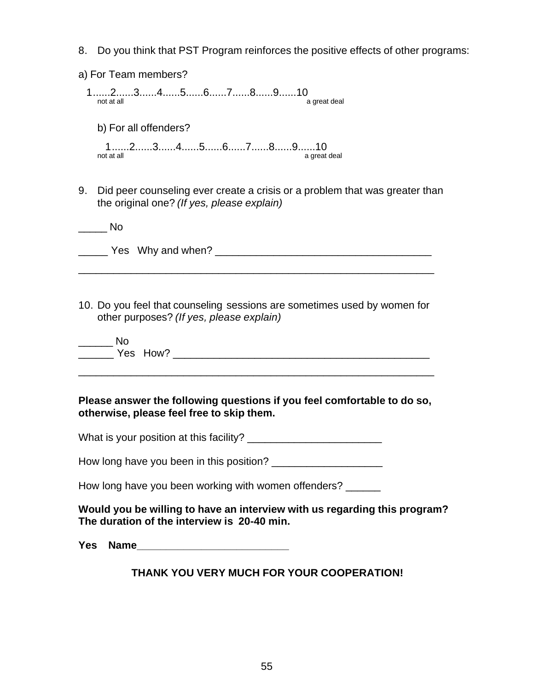- 8. Do you think that PST Program reinforces the positive effects of other programs:
- 1......2......3......4......5......6......7......8......9......10<br>not at all **a** great deal b) For all offenders? 1......2......3......4......5......6......7.......8.......9......10<br>not at all not a great deal

a) For Team members?

9. Did peer counseling ever create a crisis or a problem that was greater than the original one? *(If yes, please explain)*

| Nο |                      |  |
|----|----------------------|--|
|    | Yes Why and when? __ |  |

10. Do you feel that counseling sessions are sometimes used by women for other purposes? *(If yes, please explain)*

| Yes How? |  |
|----------|--|

\_\_\_\_\_\_\_\_\_\_\_\_\_\_\_\_\_\_\_\_\_\_\_\_\_\_\_\_\_\_\_\_\_\_\_\_\_\_\_\_\_\_\_\_\_\_\_\_\_\_\_\_\_\_\_\_\_\_\_\_\_

## **Please answer the following questions if you feel comfortable to do so, otherwise, please feel free to skip them.**

What is your position at this facility?

How long have you been in this position?

How long have you been working with women offenders?

## **Would you be willing to have an interview with us regarding this program? The duration of the interview is 20-40 min.**

**Yes Name\_\_\_\_\_\_\_\_\_\_\_\_\_\_\_\_\_\_\_\_\_\_\_\_\_\_**

# **THANK YOU VERY MUCH FOR YOUR COOPERATION!**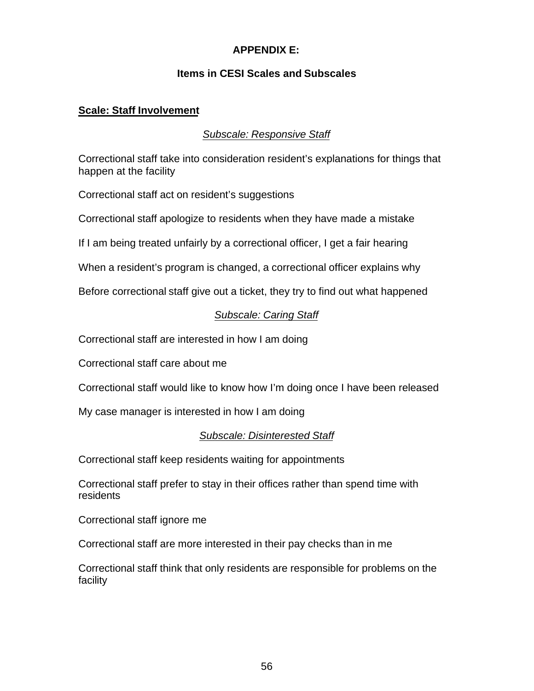# **APPENDIX E:**

# **Items in CESI Scales and Subscales**

# **Scale: Staff Involvement**

# *Subscale: Responsive Staff*

Correctional staff take into consideration resident's explanations for things that happen at the facility

Correctional staff act on resident's suggestions

Correctional staff apologize to residents when they have made a mistake

If I am being treated unfairly by a correctional officer, I get a fair hearing

When a resident's program is changed, a correctional officer explains why

Before correctional staff give out a ticket, they try to find out what happened

# *Subscale: Caring Staff*

Correctional staff are interested in how I am doing

Correctional staff care about me

Correctional staff would like to know how I'm doing once I have been released

My case manager is interested in how I am doing

## *Subscale: Disinterested Staff*

Correctional staff keep residents waiting for appointments

Correctional staff prefer to stay in their offices rather than spend time with residents

Correctional staff ignore me

Correctional staff are more interested in their pay checks than in me

Correctional staff think that only residents are responsible for problems on the facility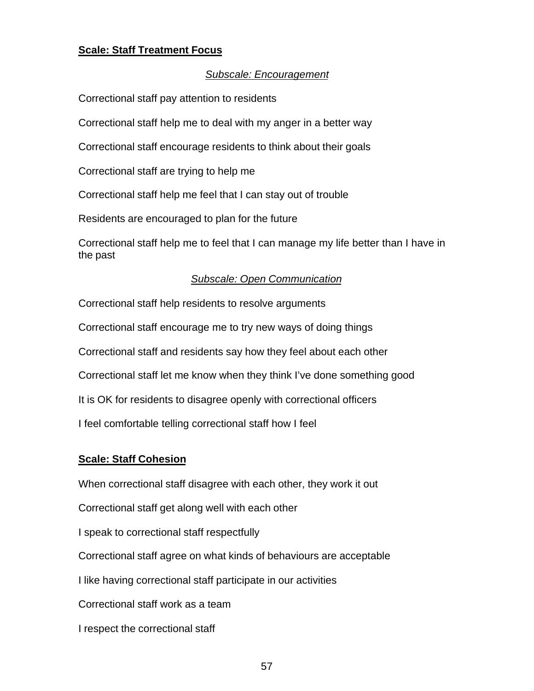# **Scale: Staff Treatment Focus**

#### *Subscale: Encouragement*

Correctional staff pay attention to residents

Correctional staff help me to deal with my anger in a better way

Correctional staff encourage residents to think about their goals

Correctional staff are trying to help me

Correctional staff help me feel that I can stay out of trouble

Residents are encouraged to plan for the future

Correctional staff help me to feel that I can manage my life better than I have in the past

#### *Subscale: Open Communication*

Correctional staff help residents to resolve arguments

Correctional staff encourage me to try new ways of doing things

Correctional staff and residents say how they feel about each other

Correctional staff let me know when they think I've done something good

It is OK for residents to disagree openly with correctional officers

I feel comfortable telling correctional staff how I feel

#### **Scale: Staff Cohesion**

When correctional staff disagree with each other, they work it out

Correctional staff get along well with each other

I speak to correctional staff respectfully

Correctional staff agree on what kinds of behaviours are acceptable

I like having correctional staff participate in our activities

Correctional staff work as a team

I respect the correctional staff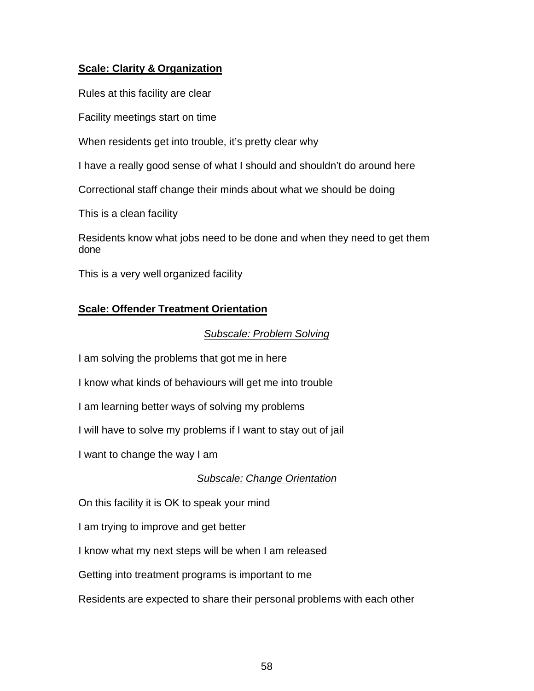# **Scale: Clarity & Organization**

Rules at this facility are clear

Facility meetings start on time

When residents get into trouble, it's pretty clear why

I have a really good sense of what I should and shouldn't do around here

Correctional staff change their minds about what we should be doing

This is a clean facility

Residents know what jobs need to be done and when they need to get them done

This is a very well organized facility

# **Scale: Offender Treatment Orientation**

# *Subscale: Problem Solving*

I am solving the problems that got me in here

I know what kinds of behaviours will get me into trouble

I am learning better ways of solving my problems

I will have to solve my problems if I want to stay out of jail

I want to change the way I am

# *Subscale: Change Orientation*

On this facility it is OK to speak your mind

I am trying to improve and get better

I know what my next steps will be when I am released

Getting into treatment programs is important to me

Residents are expected to share their personal problems with each other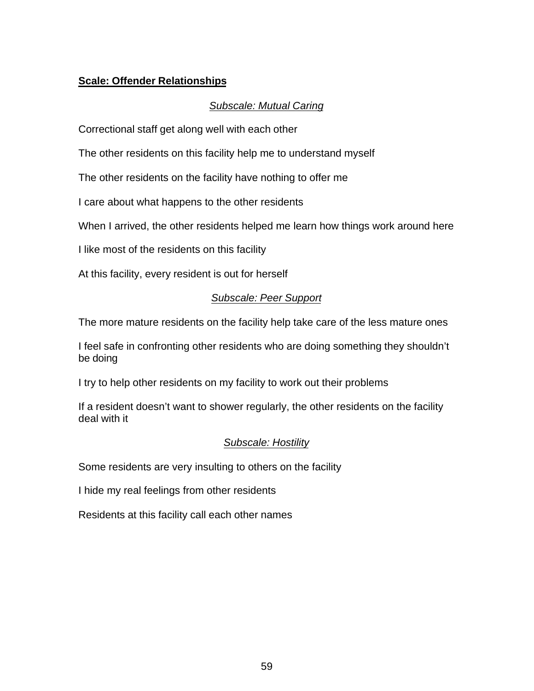# **Scale: Offender Relationships**

# *Subscale: Mutual Caring*

Correctional staff get along well with each other

The other residents on this facility help me to understand myself

The other residents on the facility have nothing to offer me

I care about what happens to the other residents

When I arrived, the other residents helped me learn how things work around here

I like most of the residents on this facility

At this facility, every resident is out for herself

# *Subscale: Peer Support*

The more mature residents on the facility help take care of the less mature ones

I feel safe in confronting other residents who are doing something they shouldn't be doing

I try to help other residents on my facility to work out their problems

If a resident doesn't want to shower regularly, the other residents on the facility deal with it

# *Subscale: Hostility*

Some residents are very insulting to others on the facility

I hide my real feelings from other residents

Residents at this facility call each other names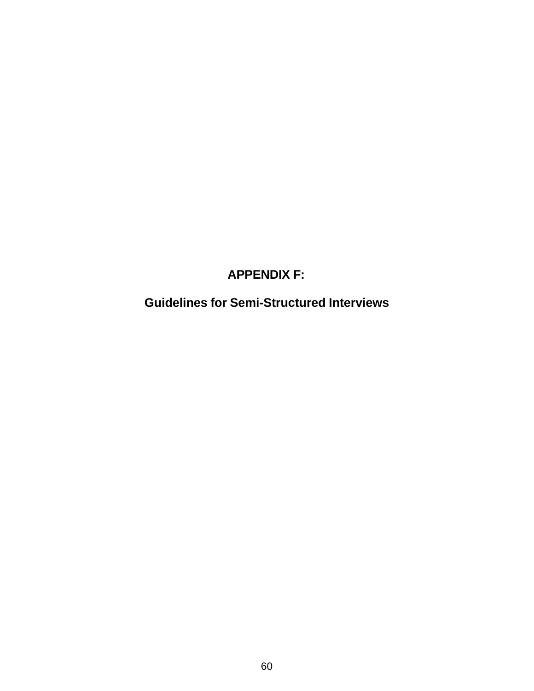# **APPENDIX F:**

**Guidelines for Semi-Structured Interviews**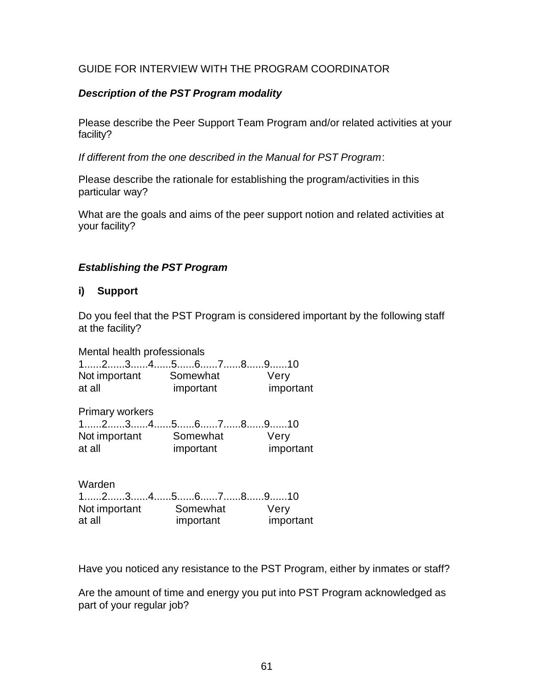# GUIDE FOR INTERVIEW WITH THE PROGRAM COORDINATOR

# *Description of the PST Program modality*

Please describe the Peer Support Team Program and/or related activities at your facility?

*If different from the one described in the Manual for PST Program*:

Please describe the rationale for establishing the program/activities in this particular way?

What are the goals and aims of the peer support notion and related activities at your facility?

## *Establishing the PST Program*

# **i) Support**

Do you feel that the PST Program is considered important by the following staff at the facility?

Mental health professionals 1......2......3......4......5......6......7......8......9......10 Not important Somewhat Very at all important important

Primary workers 1......2......3......4......5......6......7......8......9......10 Not important Somewhat Very at all important important

Warden 1......2......3......4......5......6......7......8......9......10 Not important Somewhat Very at all important important

Have you noticed any resistance to the PST Program, either by inmates or staff?

Are the amount of time and energy you put into PST Program acknowledged as part of your regular job?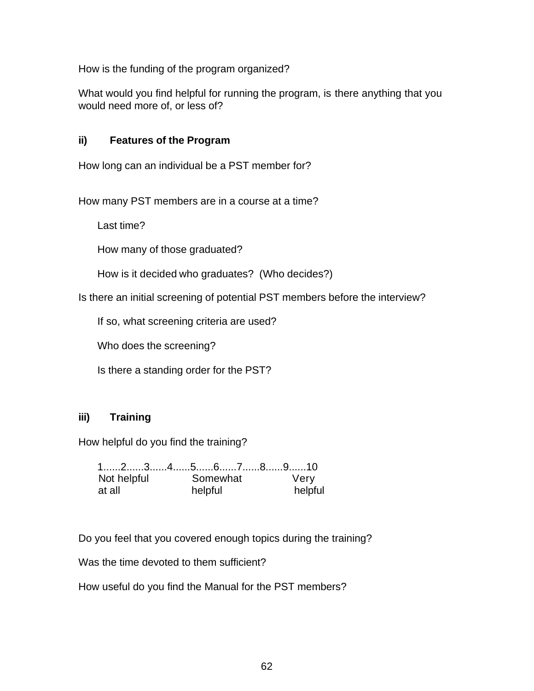How is the funding of the program organized?

What would you find helpful for running the program, is there anything that you would need more of, or less of?

# **ii) Features of the Program**

How long can an individual be a PST member for?

How many PST members are in a course at a time?

Last time?

How many of those graduated?

How is it decided who graduates? (Who decides?)

Is there an initial screening of potential PST members before the interview?

If so, what screening criteria are used?

Who does the screening?

Is there a standing order for the PST?

## **iii) Training**

How helpful do you find the training?

|             | 12345678910 |         |
|-------------|-------------|---------|
| Not helpful | Somewhat    | Verv    |
| at all      | helpful     | helpful |

Do you feel that you covered enough topics during the training?

Was the time devoted to them sufficient?

How useful do you find the Manual for the PST members?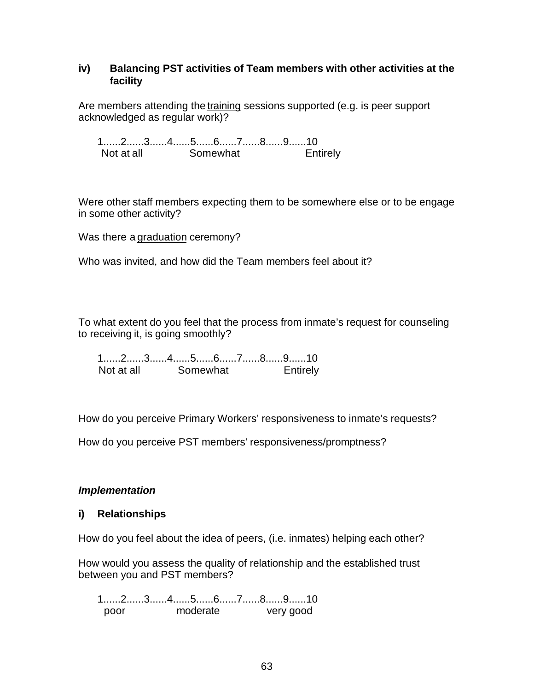## **iv) Balancing PST activities of Team members with other activities at the facility**

Are members attending the training sessions supported (e.g. is peer support acknowledged as regular work)?

1......2......3......4......5......6......7......8......9......10 Not at all Somewhat **Entirely** 

Were other staff members expecting them to be somewhere else or to be engage in some other activity?

Was there a graduation ceremony?

Who was invited, and how did the Team members feel about it?

To what extent do you feel that the process from inmate's request for counseling to receiving it, is going smoothly?

1......2......3......4......5......6......7......8......9......10 Not at all Somewhat Entirely

How do you perceive Primary Workers' responsiveness to inmate's requests?

How do you perceive PST members' responsiveness/promptness?

## *Implementation*

#### **i) Relationships**

How do you feel about the idea of peers, (i.e. inmates) helping each other?

How would you assess the quality of relationship and the established trust between you and PST members?

1......2......3......4......5......6......7......8......9......10 poor moderate very good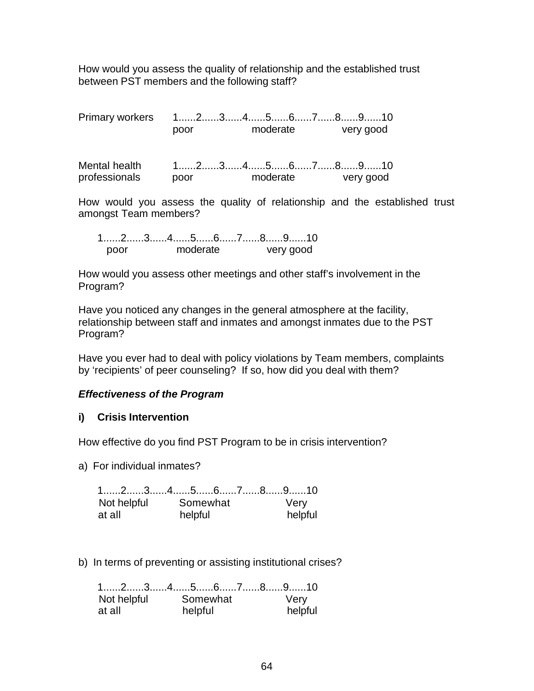How would you assess the quality of relationship and the established trust between PST members and the following staff?

Primary workers 1......2......3......4......5......6......7......8......9......10 poor moderate very good

| Mental health |      | $1$ 2345678910 |          |  |           |  |
|---------------|------|----------------|----------|--|-----------|--|
| professionals | poor |                | moderate |  | very good |  |

How would you assess the quality of relationship and the established trust amongst Team members?

|      |          | 1……2……3……4……5……6……7……8……9……10 |
|------|----------|-------------------------------|
| noor | moderate | very good                     |

How would you assess other meetings and other staff's involvement in the Program?

Have you noticed any changes in the general atmosphere at the facility, relationship between staff and inmates and amongst inmates due to the PST Program?

Have you ever had to deal with policy violations by Team members, complaints by 'recipients' of peer counseling? If so, how did you deal with them?

## *Effectiveness of the Program*

## **i) Crisis Intervention**

How effective do you find PST Program to be in crisis intervention?

a) For individual inmates?

|             | $1$ 2345678910 |         |
|-------------|----------------|---------|
| Not helpful | Somewhat       | Very    |
| at all      | helpful        | helpful |

b) In terms of preventing or assisting institutional crises?

|             | $1$ 2345678910 |         |
|-------------|----------------|---------|
| Not helpful | Somewhat       | Very    |
| at all      | helpful        | helpful |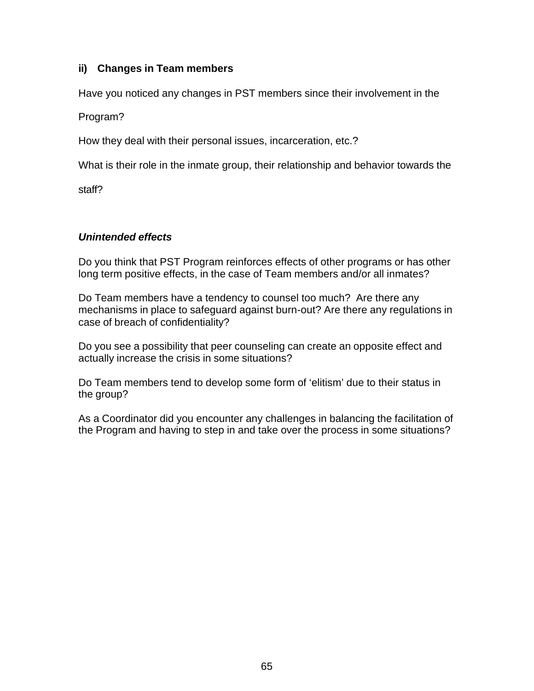# **ii) Changes in Team members**

Have you noticed any changes in PST members since their involvement in the

Program?

How they deal with their personal issues, incarceration, etc.?

What is their role in the inmate group, their relationship and behavior towards the

staff?

# *Unintended effects*

Do you think that PST Program reinforces effects of other programs or has other long term positive effects, in the case of Team members and/or all inmates?

Do Team members have a tendency to counsel too much? Are there any mechanisms in place to safeguard against burn-out? Are there any regulations in case of breach of confidentiality?

Do you see a possibility that peer counseling can create an opposite effect and actually increase the crisis in some situations?

Do Team members tend to develop some form of 'elitism' due to their status in the group?

As a Coordinator did you encounter any challenges in balancing the facilitation of the Program and having to step in and take over the process in some situations?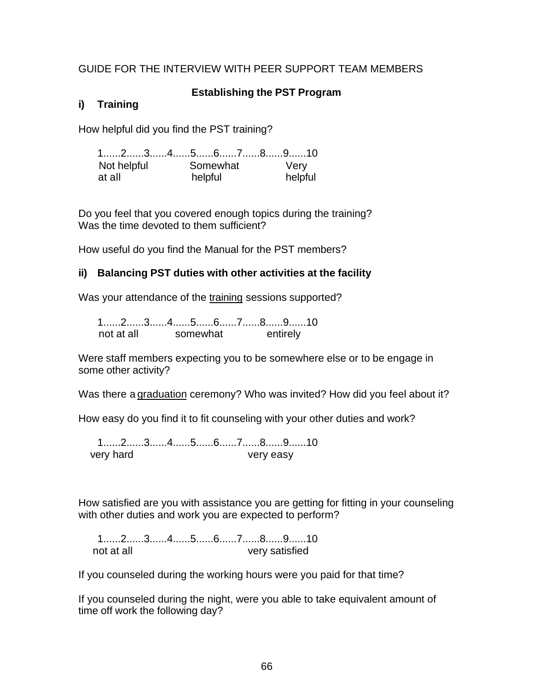# GUIDE FOR THE INTERVIEW WITH PEER SUPPORT TEAM MEMBERS

# **Establishing the PST Program**

# **i) Training**

How helpful did you find the PST training?

1......2......3......4......5......6......7......8......9......10 Not helpful Somewhat Very at all helpful helpful

Do you feel that you covered enough topics during the training? Was the time devoted to them sufficient?

How useful do you find the Manual for the PST members?

# **ii) Balancing PST duties with other activities at the facility**

Was your attendance of the training sessions supported?

1......2......3......4......5......6......7......8......9......10 not at all somewhat entirely

Were staff members expecting you to be somewhere else or to be engage in some other activity?

Was there a graduation ceremony? Who was invited? How did you feel about it?

How easy do you find it to fit counseling with your other duties and work?

1......2......3......4......5......6......7......8......9......10 very hard very easy

How satisfied are you with assistance you are getting for fitting in your counseling with other duties and work you are expected to perform?

1......2......3......4......5......6......7......8......9......10 not at all very satisfied

If you counseled during the working hours were you paid for that time?

If you counseled during the night, were you able to take equivalent amount of time off work the following day?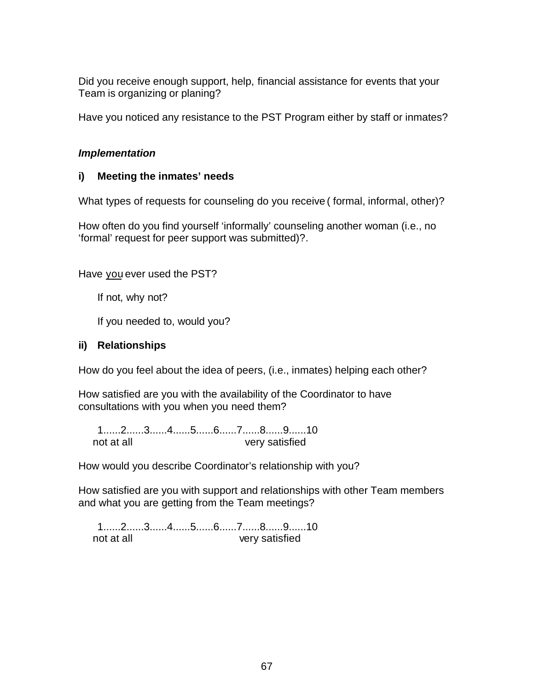Did you receive enough support, help, financial assistance for events that your Team is organizing or planing?

Have you noticed any resistance to the PST Program either by staff or inmates?

# *Implementation*

# **i) Meeting the inmates' needs**

What types of requests for counseling do you receive ( formal, informal, other)?

How often do you find yourself 'informally' counseling another woman (i.e., no 'formal' request for peer support was submitted)?.

Have you ever used the PST?

If not, why not?

If you needed to, would you?

# **ii) Relationships**

How do you feel about the idea of peers, (i.e., inmates) helping each other?

How satisfied are you with the availability of the Coordinator to have consultations with you when you need them?

1......2......3......4......5......6......7......8......9......10 not at all very satisfied

How would you describe Coordinator's relationship with you?

How satisfied are you with support and relationships with other Team members and what you are getting from the Team meetings?

1......2......3......4......5......6......7......8......9......10 not at all very satisfied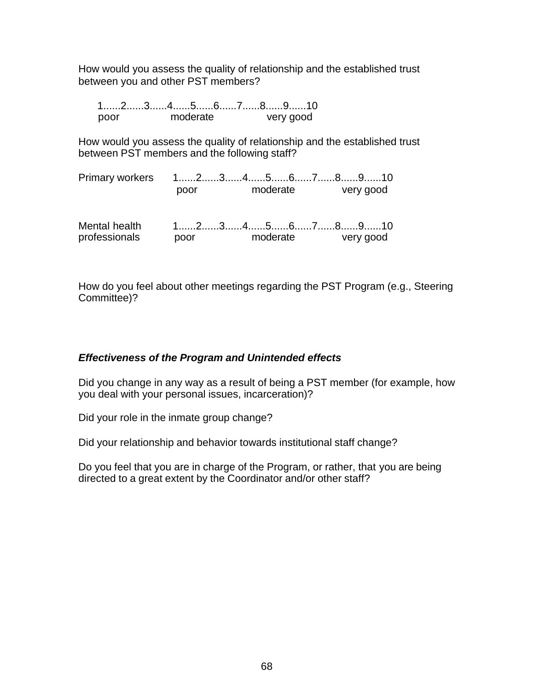How would you assess the quality of relationship and the established trust between you and other PST members?

|      |          | 12345678910 |
|------|----------|-------------|
| nnor | moderate | very good   |

How would you assess the quality of relationship and the established trust between PST members and the following staff?

| Primary workers 12345678910    |                                                                                                                 |          |  |           |
|--------------------------------|-----------------------------------------------------------------------------------------------------------------|----------|--|-----------|
|                                | poor                                                                                                            | moderate |  | very good |
| Mental health<br>professionals | $1, \ldots, 2, \ldots, 3, \ldots, 4, \ldots, 5, \ldots, 6, \ldots, 7, \ldots, 8, \ldots, 9, \ldots, 10$<br>poor | moderate |  | very good |

How do you feel about other meetings regarding the PST Program (e.g., Steering Committee)?

## *Effectiveness of the Program and Unintended effects*

Did you change in any way as a result of being a PST member (for example, how you deal with your personal issues, incarceration)?

Did your role in the inmate group change?

Did your relationship and behavior towards institutional staff change?

Do you feel that you are in charge of the Program, or rather, that you are being directed to a great extent by the Coordinator and/or other staff?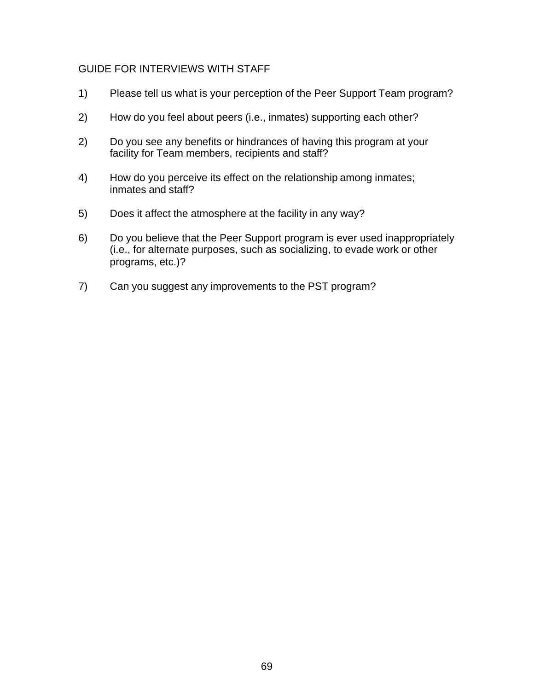## GUIDE FOR INTERVIEWS WITH STAFF

- 1) Please tell us what is your perception of the Peer Support Team program?
- 2) How do you feel about peers (i.e., inmates) supporting each other?
- 2) Do you see any benefits or hindrances of having this program at your facility for Team members, recipients and staff?
- 4) How do you perceive its effect on the relationship among inmates; inmates and staff?
- 5) Does it affect the atmosphere at the facility in any way?
- 6) Do you believe that the Peer Support program is ever used inappropriately (i.e., for alternate purposes, such as socializing, to evade work or other programs, etc.)?
- 7) Can you suggest any improvements to the PST program?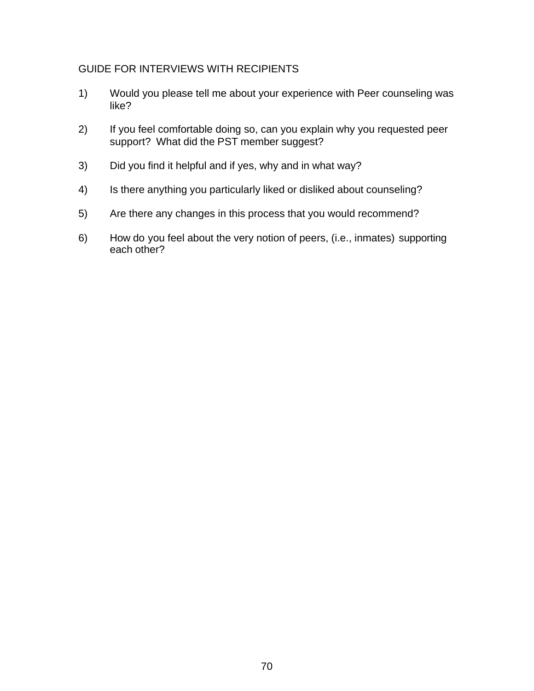# GUIDE FOR INTERVIEWS WITH RECIPIENTS

- 1) Would you please tell me about your experience with Peer counseling was like?
- 2) If you feel comfortable doing so, can you explain why you requested peer support? What did the PST member suggest?
- 3) Did you find it helpful and if yes, why and in what way?
- 4) Is there anything you particularly liked or disliked about counseling?
- 5) Are there any changes in this process that you would recommend?
- 6) How do you feel about the very notion of peers, (i.e., inmates) supporting each other?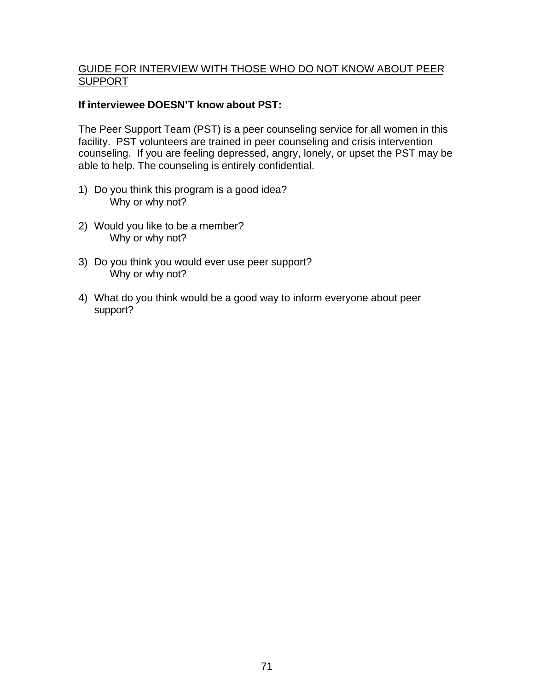# GUIDE FOR INTERVIEW WITH THOSE WHO DO NOT KNOW ABOUT PEER SUPPORT

# **If interviewee DOESN'T know about PST:**

The Peer Support Team (PST) is a peer counseling service for all women in this facility. PST volunteers are trained in peer counseling and crisis intervention counseling. If you are feeling depressed, angry, lonely, or upset the PST may be able to help. The counseling is entirely confidential.

- 1) Do you think this program is a good idea? Why or why not?
- 2) Would you like to be a member? Why or why not?
- 3) Do you think you would ever use peer support? Why or why not?
- 4) What do you think would be a good way to inform everyone about peer support?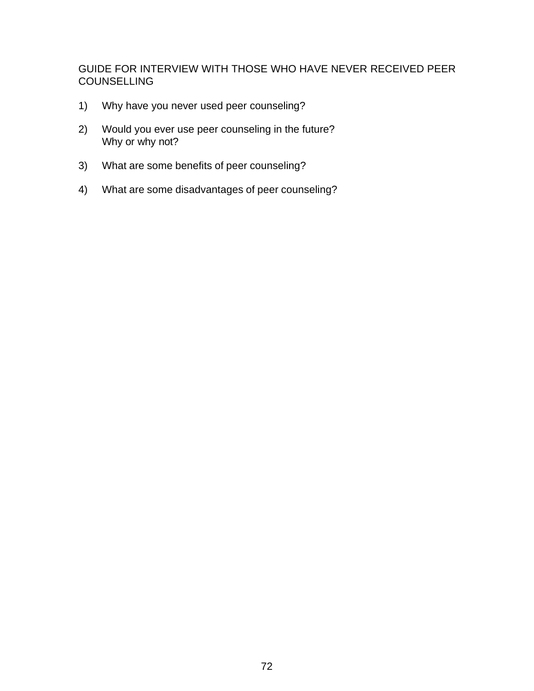GUIDE FOR INTERVIEW WITH THOSE WHO HAVE NEVER RECEIVED PEER **COUNSELLING** 

- 1) Why have you never used peer counseling?
- 2) Would you ever use peer counseling in the future? Why or why not?
- 3) What are some benefits of peer counseling?
- 4) What are some disadvantages of peer counseling?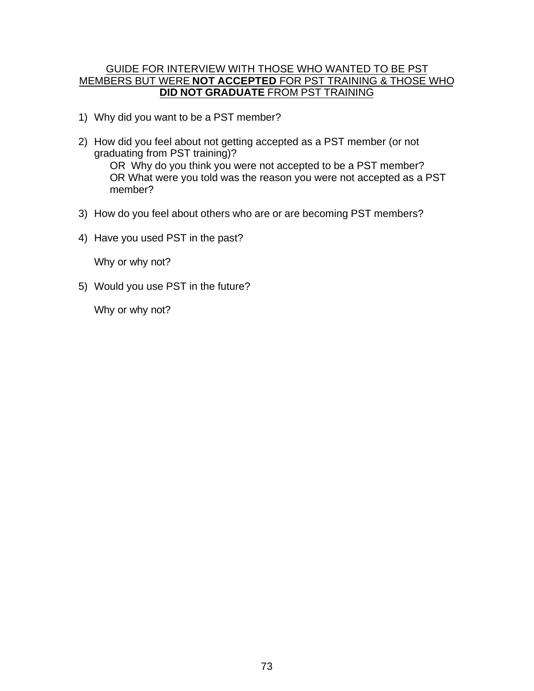## GUIDE FOR INTERVIEW WITH THOSE WHO WANTED TO BE PST MEMBERS BUT WERE **NOT ACCEPTED** FOR PST TRAINING & THOSE WHO **DID NOT GRADUATE** FROM PST TRAINING

- 1) Why did you want to be a PST member?
- 2) How did you feel about not getting accepted as a PST member (or not graduating from PST training)? OR Why do you think you were not accepted to be a PST member? OR What were you told was the reason you were not accepted as a PST member?
- 3) How do you feel about others who are or are becoming PST members?
- 4) Have you used PST in the past?

Why or why not?

5) Would you use PST in the future?

Why or why not?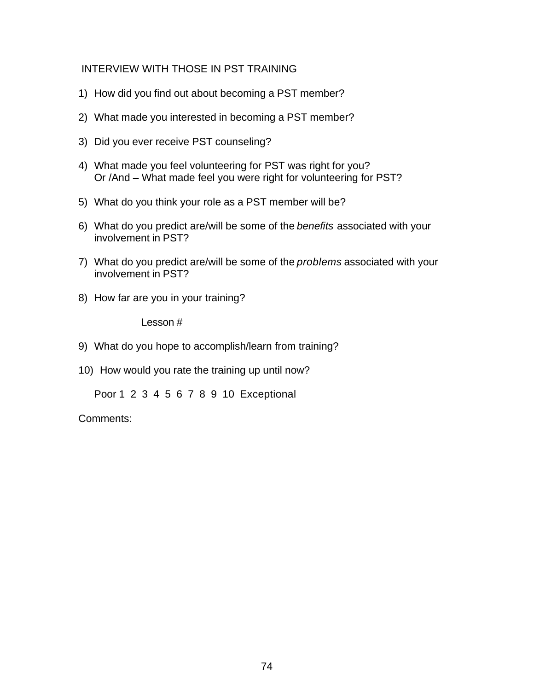# INTERVIEW WITH THOSE IN PST TRAINING

- 1) How did you find out about becoming a PST member?
- 2) What made you interested in becoming a PST member?
- 3) Did you ever receive PST counseling?
- 4) What made you feel volunteering for PST was right for you? Or /And – What made feel you were right for volunteering for PST?
- 5) What do you think your role as a PST member will be?
- 6) What do you predict are/will be some of the *benefits* associated with your involvement in PST?
- 7) What do you predict are/will be some of the *problems* associated with your involvement in PST?
- 8) How far are you in your training?

Lesson #

- 9) What do you hope to accomplish/learn from training?
- 10) How would you rate the training up until now?

Poor 1 2 3 4 5 6 7 8 9 10 Exceptional

Comments: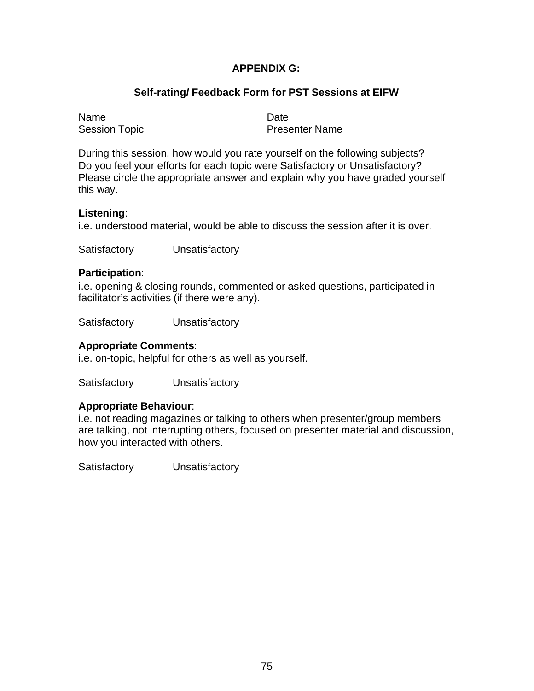# **APPENDIX G:**

# **Self-rating/ Feedback Form for PST Sessions at EIFW**

Name Date

Session Topic **Presenter Name** 

During this session, how would you rate yourself on the following subjects? Do you feel your efforts for each topic were Satisfactory or Unsatisfactory? Please circle the appropriate answer and explain why you have graded yourself this way.

#### **Listening**:

i.e. understood material, would be able to discuss the session after it is over.

Satisfactory Unsatisfactory

#### **Participation**:

i.e. opening & closing rounds, commented or asked questions, participated in facilitator's activities (if there were any).

Satisfactory Unsatisfactory

#### **Appropriate Comments**:

i.e. on-topic, helpful for others as well as yourself.

Satisfactory Unsatisfactory

#### **Appropriate Behaviour**:

i.e. not reading magazines or talking to others when presenter/group members are talking, not interrupting others, focused on presenter material and discussion, how you interacted with others.

Satisfactory Unsatisfactory